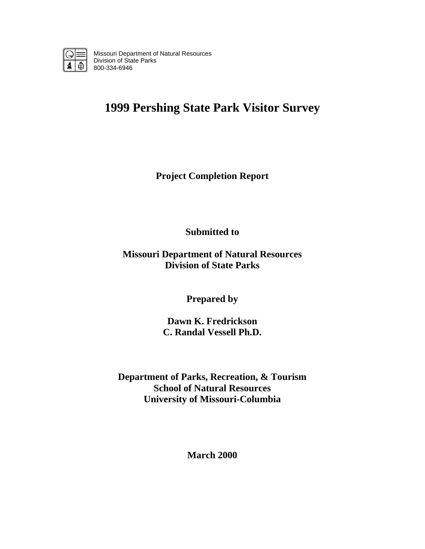

Missouri Department of Natural Resources Division of State Parks 800-334-6946

# **1999 Pershing State Park Visitor Survey**

**Project Completion Report** 

**Submitted to** 

**Missouri Department of Natural Resources Division of State Parks** 

**Prepared by** 

**Dawn K. Fredrickson C. Randal Vessell Ph.D.** 

**Department of Parks, Recreation, & Tourism School of Natural Resources University of Missouri-Columbia** 

**March 2000**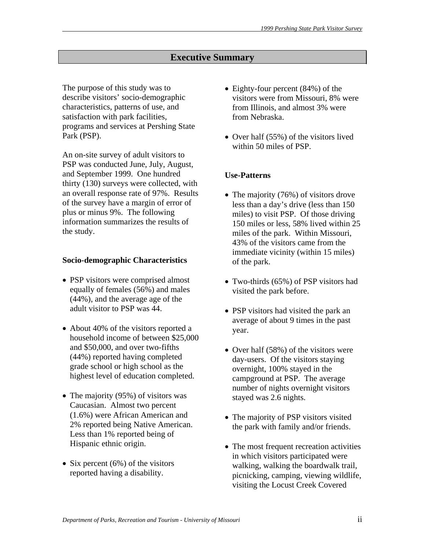# **Executive Summary**

The purpose of this study was to describe visitors' socio-demographic characteristics, patterns of use, and satisfaction with park facilities, programs and services at Pershing State Park (PSP).

An on-site survey of adult visitors to PSP was conducted June, July, August, and September 1999. One hundred thirty (130) surveys were collected, with an overall response rate of 97%. Results of the survey have a margin of error of plus or minus 9%. The following information summarizes the results of the study.

#### **Socio-demographic Characteristics**

- PSP visitors were comprised almost equally of females (56%) and males (44%), and the average age of the adult visitor to PSP was 44.
- About 40% of the visitors reported a household income of between \$25,000 and \$50,000, and over two-fifths (44%) reported having completed grade school or high school as the highest level of education completed.
- The majority (95%) of visitors was Caucasian. Almost two percent (1.6%) were African American and 2% reported being Native American. Less than 1% reported being of Hispanic ethnic origin.
- Six percent (6%) of the visitors reported having a disability.
- Eighty-four percent (84%) of the visitors were from Missouri, 8% were from Illinois, and almost 3% were from Nebraska.
- Over half (55%) of the visitors lived within 50 miles of PSP.

# **Use-Patterns**

- The majority (76%) of visitors drove less than a day's drive (less than 150 miles) to visit PSP. Of those driving 150 miles or less, 58% lived within 25 miles of the park. Within Missouri, 43% of the visitors came from the immediate vicinity (within 15 miles) of the park.
- Two-thirds (65%) of PSP visitors had visited the park before.
- PSP visitors had visited the park an average of about 9 times in the past year.
- Over half (58%) of the visitors were day-users. Of the visitors staying overnight, 100% stayed in the campground at PSP. The average number of nights overnight visitors stayed was 2.6 nights.
- The majority of PSP visitors visited the park with family and/or friends.
- The most frequent recreation activities in which visitors participated were walking, walking the boardwalk trail, picnicking, camping, viewing wildlife, visiting the Locust Creek Covered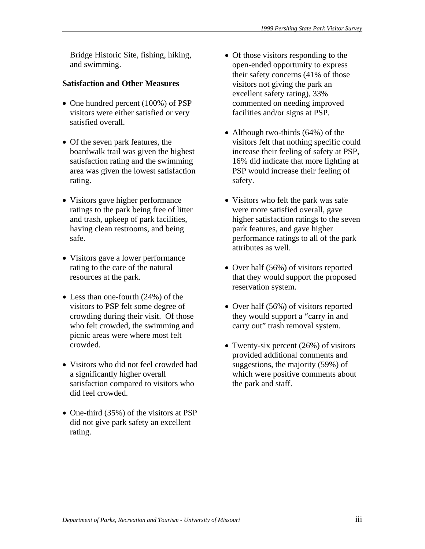Bridge Historic Site, fishing, hiking, and swimming.

# **Satisfaction and Other Measures**

- One hundred percent (100%) of PSP visitors were either satisfied or very satisfied overall.
- Of the seven park features, the boardwalk trail was given the highest satisfaction rating and the swimming area was given the lowest satisfaction rating.
- Visitors gave higher performance ratings to the park being free of litter and trash, upkeep of park facilities, having clean restrooms, and being safe.
- Visitors gave a lower performance rating to the care of the natural resources at the park.
- Less than one-fourth (24%) of the visitors to PSP felt some degree of crowding during their visit. Of those who felt crowded, the swimming and picnic areas were where most felt crowded.
- Visitors who did not feel crowded had a significantly higher overall satisfaction compared to visitors who did feel crowded.
- One-third (35%) of the visitors at PSP did not give park safety an excellent rating.
- Of those visitors responding to the open-ended opportunity to express their safety concerns (41% of those visitors not giving the park an excellent safety rating), 33% commented on needing improved facilities and/or signs at PSP.
- Although two-thirds (64%) of the visitors felt that nothing specific could increase their feeling of safety at PSP, 16% did indicate that more lighting at PSP would increase their feeling of safety.
- Visitors who felt the park was safe were more satisfied overall, gave higher satisfaction ratings to the seven park features, and gave higher performance ratings to all of the park attributes as well.
- Over half (56%) of visitors reported that they would support the proposed reservation system.
- Over half (56%) of visitors reported they would support a "carry in and carry out" trash removal system.
- Twenty-six percent (26%) of visitors provided additional comments and suggestions, the majority (59%) of which were positive comments about the park and staff.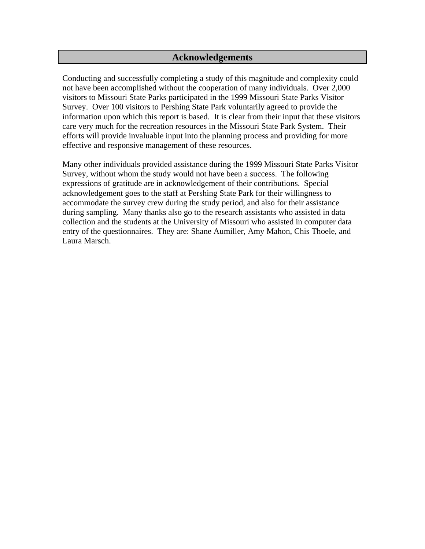# **Acknowledgements**

Conducting and successfully completing a study of this magnitude and complexity could not have been accomplished without the cooperation of many individuals. Over 2,000 visitors to Missouri State Parks participated in the 1999 Missouri State Parks Visitor Survey. Over 100 visitors to Pershing State Park voluntarily agreed to provide the information upon which this report is based. It is clear from their input that these visitors care very much for the recreation resources in the Missouri State Park System. Their efforts will provide invaluable input into the planning process and providing for more effective and responsive management of these resources.

Many other individuals provided assistance during the 1999 Missouri State Parks Visitor Survey, without whom the study would not have been a success. The following expressions of gratitude are in acknowledgement of their contributions. Special acknowledgement goes to the staff at Pershing State Park for their willingness to accommodate the survey crew during the study period, and also for their assistance during sampling. Many thanks also go to the research assistants who assisted in data collection and the students at the University of Missouri who assisted in computer data entry of the questionnaires. They are: Shane Aumiller, Amy Mahon, Chis Thoele, and Laura Marsch.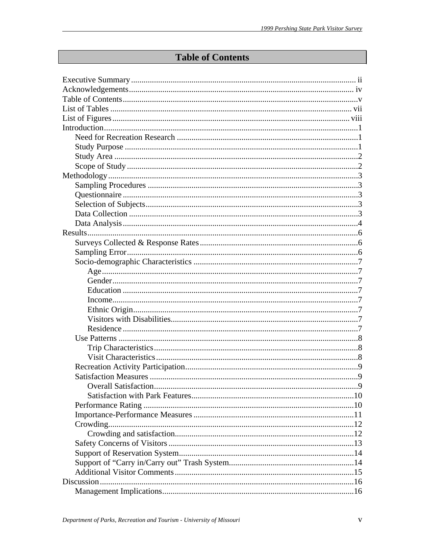# **Table of Contents**

| <b>Overall Satisfaction</b> | Q |
|-----------------------------|---|
|                             |   |
|                             |   |
|                             |   |
|                             |   |
|                             |   |
|                             |   |
|                             |   |
|                             |   |
|                             |   |
|                             |   |
|                             |   |
|                             |   |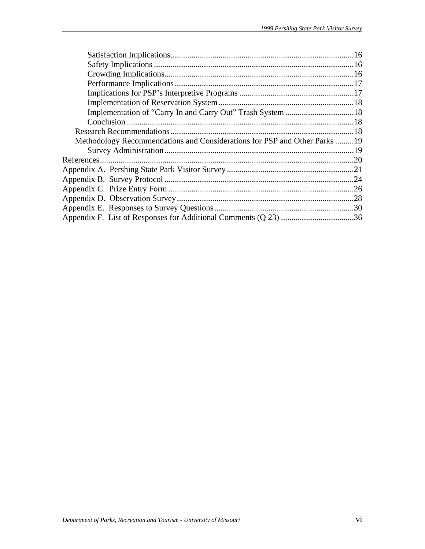| Methodology Recommendations and Considerations for PSP and Other Parks19 |  |
|--------------------------------------------------------------------------|--|
|                                                                          |  |
|                                                                          |  |
|                                                                          |  |
|                                                                          |  |
|                                                                          |  |
|                                                                          |  |
|                                                                          |  |
|                                                                          |  |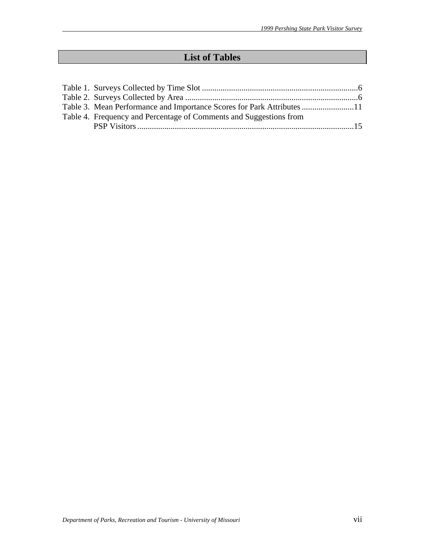# **List of Tables**

| Table 4. Frequency and Percentage of Comments and Suggestions from |  |
|--------------------------------------------------------------------|--|
|                                                                    |  |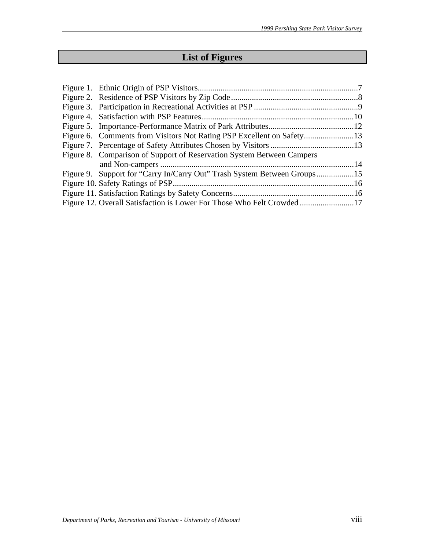# **List of Figures**

| Figure 8. Comparison of Support of Reservation System Between Campers    |  |
|--------------------------------------------------------------------------|--|
|                                                                          |  |
| Figure 9. Support for "Carry In/Carry Out" Trash System Between Groups15 |  |
|                                                                          |  |
|                                                                          |  |
|                                                                          |  |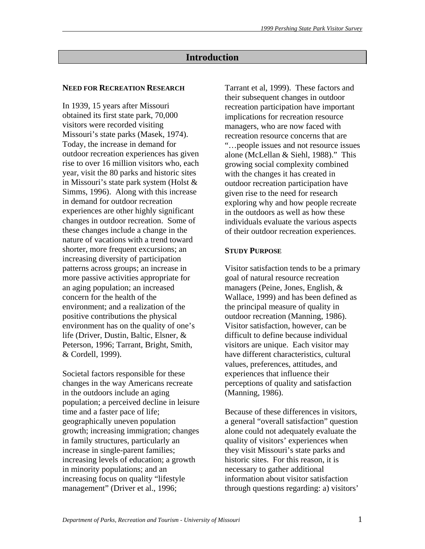# **Introduction**

#### **NEED FOR RECREATION RESEARCH**

In 1939, 15 years after Missouri obtained its first state park, 70,000 visitors were recorded visiting Missouri's state parks (Masek, 1974). Today, the increase in demand for outdoor recreation experiences has given rise to over 16 million visitors who, each year, visit the 80 parks and historic sites in Missouri's state park system (Holst & Simms, 1996). Along with this increase in demand for outdoor recreation experiences are other highly significant changes in outdoor recreation. Some of these changes include a change in the nature of vacations with a trend toward shorter, more frequent excursions; an increasing diversity of participation patterns across groups; an increase in more passive activities appropriate for an aging population; an increased concern for the health of the environment; and a realization of the positive contributions the physical environment has on the quality of one's life (Driver, Dustin, Baltic, Elsner, & Peterson, 1996; Tarrant, Bright, Smith, & Cordell, 1999).

Societal factors responsible for these changes in the way Americans recreate in the outdoors include an aging population; a perceived decline in leisure time and a faster pace of life; geographically uneven population growth; increasing immigration; changes in family structures, particularly an increase in single-parent families; increasing levels of education; a growth in minority populations; and an increasing focus on quality "lifestyle management" (Driver et al., 1996;

Tarrant et al, 1999). These factors and their subsequent changes in outdoor recreation participation have important implications for recreation resource managers, who are now faced with recreation resource concerns that are "…people issues and not resource issues alone (McLellan & Siehl, 1988)." This growing social complexity combined with the changes it has created in outdoor recreation participation have given rise to the need for research exploring why and how people recreate in the outdoors as well as how these individuals evaluate the various aspects of their outdoor recreation experiences.

#### **STUDY PURPOSE**

Visitor satisfaction tends to be a primary goal of natural resource recreation managers (Peine, Jones, English, & Wallace, 1999) and has been defined as the principal measure of quality in outdoor recreation (Manning, 1986). Visitor satisfaction, however, can be difficult to define because individual visitors are unique. Each visitor may have different characteristics, cultural values, preferences, attitudes, and experiences that influence their perceptions of quality and satisfaction (Manning, 1986).

Because of these differences in visitors, a general "overall satisfaction" question alone could not adequately evaluate the quality of visitors' experiences when they visit Missouri's state parks and historic sites. For this reason, it is necessary to gather additional information about visitor satisfaction through questions regarding: a) visitors'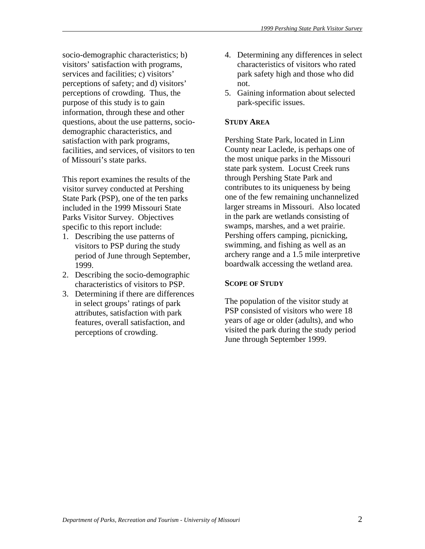socio-demographic characteristics; b) visitors' satisfaction with programs, services and facilities; c) visitors' perceptions of safety; and d) visitors' perceptions of crowding. Thus, the purpose of this study is to gain information, through these and other questions, about the use patterns, sociodemographic characteristics, and satisfaction with park programs, facilities, and services, of visitors to ten of Missouri's state parks.

This report examines the results of the visitor survey conducted at Pershing State Park (PSP), one of the ten parks included in the 1999 Missouri State Parks Visitor Survey. Objectives specific to this report include:

- 1. Describing the use patterns of visitors to PSP during the study period of June through September, 1999.
- 2. Describing the socio-demographic characteristics of visitors to PSP.
- 3. Determining if there are differences in select groups' ratings of park attributes, satisfaction with park features, overall satisfaction, and perceptions of crowding.
- 4. Determining any differences in select characteristics of visitors who rated park safety high and those who did not.
- 5. Gaining information about selected park-specific issues.

# **STUDY AREA**

Pershing State Park, located in Linn County near Laclede, is perhaps one of the most unique parks in the Missouri state park system. Locust Creek runs through Pershing State Park and contributes to its uniqueness by being one of the few remaining unchannelized larger streams in Missouri. Also located in the park are wetlands consisting of swamps, marshes, and a wet prairie. Pershing offers camping, picnicking, swimming, and fishing as well as an archery range and a 1.5 mile interpretive boardwalk accessing the wetland area.

# **SCOPE OF STUDY**

The population of the visitor study at PSP consisted of visitors who were 18 years of age or older (adults), and who visited the park during the study period June through September 1999.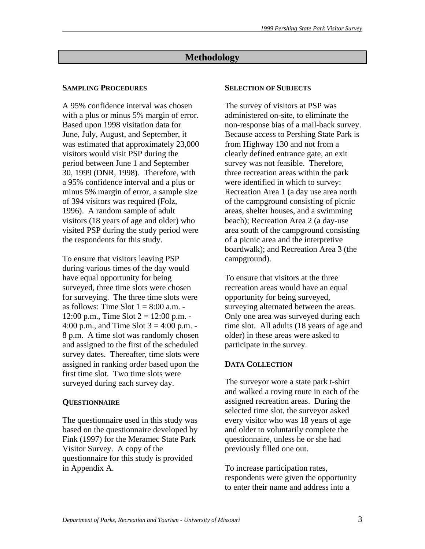# **Methodology**

#### **SAMPLING PROCEDURES**

A 95% confidence interval was chosen with a plus or minus 5% margin of error. Based upon 1998 visitation data for June, July, August, and September, it was estimated that approximately 23,000 visitors would visit PSP during the period between June 1 and September 30, 1999 (DNR, 1998). Therefore, with a 95% confidence interval and a plus or minus 5% margin of error, a sample size of 394 visitors was required (Folz, 1996). A random sample of adult visitors (18 years of age and older) who visited PSP during the study period were the respondents for this study.

To ensure that visitors leaving PSP during various times of the day would have equal opportunity for being surveyed, three time slots were chosen for surveying. The three time slots were as follows: Time Slot  $1 = 8:00$  a.m. -12:00 p.m., Time Slot  $2 = 12:00$  p.m. -4:00 p.m., and Time Slot  $3 = 4:00$  p.m. -8 p.m. A time slot was randomly chosen and assigned to the first of the scheduled survey dates. Thereafter, time slots were assigned in ranking order based upon the first time slot. Two time slots were surveyed during each survey day.

#### **QUESTIONNAIRE**

The questionnaire used in this study was based on the questionnaire developed by Fink (1997) for the Meramec State Park Visitor Survey. A copy of the questionnaire for this study is provided in Appendix A.

#### **SELECTION OF SUBJECTS**

The survey of visitors at PSP was administered on-site, to eliminate the non-response bias of a mail-back survey. Because access to Pershing State Park is from Highway 130 and not from a clearly defined entrance gate, an exit survey was not feasible. Therefore, three recreation areas within the park were identified in which to survey: Recreation Area 1 (a day use area north of the campground consisting of picnic areas, shelter houses, and a swimming beach); Recreation Area 2 (a day-use area south of the campground consisting of a picnic area and the interpretive boardwalk); and Recreation Area 3 (the campground).

To ensure that visitors at the three recreation areas would have an equal opportunity for being surveyed, surveying alternated between the areas. Only one area was surveyed during each time slot. All adults (18 years of age and older) in these areas were asked to participate in the survey.

# **DATA COLLECTION**

The surveyor wore a state park t-shirt and walked a roving route in each of the assigned recreation areas. During the selected time slot, the surveyor asked every visitor who was 18 years of age and older to voluntarily complete the questionnaire, unless he or she had previously filled one out.

To increase participation rates, respondents were given the opportunity to enter their name and address into a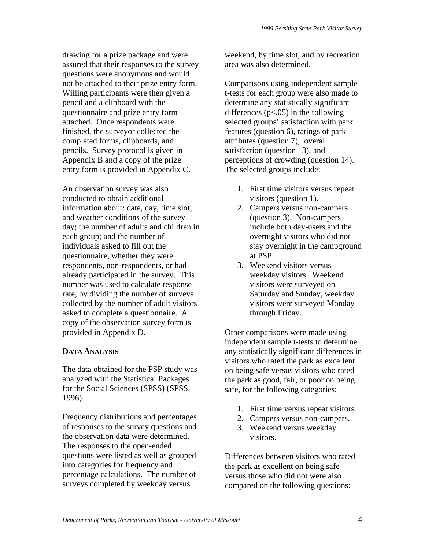drawing for a prize package and were assured that their responses to the survey questions were anonymous and would not be attached to their prize entry form. Willing participants were then given a pencil and a clipboard with the questionnaire and prize entry form attached. Once respondents were finished, the surveyor collected the completed forms, clipboards, and pencils. Survey protocol is given in Appendix B and a copy of the prize entry form is provided in Appendix C.

An observation survey was also conducted to obtain additional information about: date, day, time slot, and weather conditions of the survey day; the number of adults and children in each group; and the number of individuals asked to fill out the questionnaire, whether they were respondents, non-respondents, or had already participated in the survey. This number was used to calculate response rate, by dividing the number of surveys collected by the number of adult visitors asked to complete a questionnaire. A copy of the observation survey form is provided in Appendix D.

# **DATA ANALYSIS**

The data obtained for the PSP study was analyzed with the Statistical Packages for the Social Sciences (SPSS) (SPSS, 1996).

Frequency distributions and percentages of responses to the survey questions and the observation data were determined. The responses to the open-ended questions were listed as well as grouped into categories for frequency and percentage calculations. The number of surveys completed by weekday versus

weekend, by time slot, and by recreation area was also determined.

Comparisons using independent sample t-tests for each group were also made to determine any statistically significant differences  $(p<.05)$  in the following selected groups' satisfaction with park features (question 6), ratings of park attributes (question 7), overall satisfaction (question 13), and perceptions of crowding (question 14). The selected groups include:

- 1. First time visitors versus repeat visitors (question 1).
- 2. Campers versus non-campers (question 3). Non-campers include both day-users and the overnight visitors who did not stay overnight in the campground at PSP.
- 3. Weekend visitors versus weekday visitors. Weekend visitors were surveyed on Saturday and Sunday, weekday visitors were surveyed Monday through Friday.

Other comparisons were made using independent sample t-tests to determine any statistically significant differences in visitors who rated the park as excellent on being safe versus visitors who rated the park as good, fair, or poor on being safe, for the following categories:

- 1. First time versus repeat visitors.
- 2. Campers versus non-campers.
- 3. Weekend versus weekday visitors.

Differences between visitors who rated the park as excellent on being safe versus those who did not were also compared on the following questions: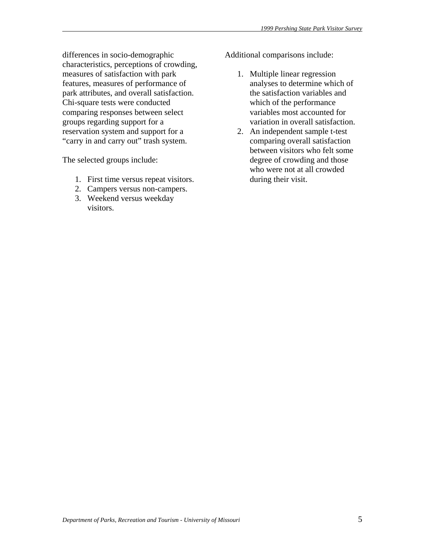differences in socio-demographic characteristics, perceptions of crowding, measures of satisfaction with park features, measures of performance of park attributes, and overall satisfaction. Chi-square tests were conducted comparing responses between select groups regarding support for a reservation system and support for a "carry in and carry out" trash system.

The selected groups include:

- 1. First time versus repeat visitors.
- 2. Campers versus non-campers.
- 3. Weekend versus weekday visitors.

Additional comparisons include:

- 1. Multiple linear regression analyses to determine which of the satisfaction variables and which of the performance variables most accounted for variation in overall satisfaction.
- 2. An independent sample t-test comparing overall satisfaction between visitors who felt some degree of crowding and those who were not at all crowded during their visit.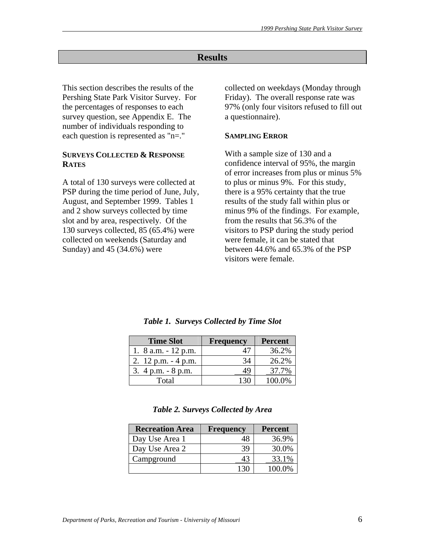# **Results**

This section describes the results of the Pershing State Park Visitor Survey. For the percentages of responses to each survey question, see Appendix E. The number of individuals responding to each question is represented as "n=."

# **SURVEYS COLLECTED & RESPONSE RATES**

A total of 130 surveys were collected at PSP during the time period of June, July, August, and September 1999. Tables 1 and 2 show surveys collected by time slot and by area, respectively. Of the 130 surveys collected, 85 (65.4%) were collected on weekends (Saturday and Sunday) and 45 (34.6%) were

collected on weekdays (Monday through Friday). The overall response rate was 97% (only four visitors refused to fill out a questionnaire).

#### **SAMPLING ERROR**

With a sample size of 130 and a confidence interval of 95%, the margin of error increases from plus or minus 5% to plus or minus 9%. For this study, there is a 95% certainty that the true results of the study fall within plus or minus 9% of the findings. For example, from the results that 56.3% of the visitors to PSP during the study period were female, it can be stated that between 44.6% and 65.3% of the PSP visitors were female.

| <b>Time Slot</b>       | <b>Frequency</b> | <b>Percent</b> |
|------------------------|------------------|----------------|
| 1. $8$ a.m. $-12$ p.m. |                  | 36.2%          |
| 2. $12$ p.m. $-4$ p.m. | 34               | 26.2%          |
| 3. $4 p.m. - 8 p.m.$   | 49               | 37.7%          |
| Total                  |                  | 100.0%         |

*Table 1. Surveys Collected by Time Slot* 

*Table 2. Surveys Collected by Area* 

| <b>Recreation Area</b> | <b>Frequency</b> | <b>Percent</b> |
|------------------------|------------------|----------------|
| Day Use Area 1         |                  | 36.9%          |
| Day Use Area 2         | 39               | 30.0%          |
| Campground             | 43               | 33.1%          |
|                        |                  | 100.0%         |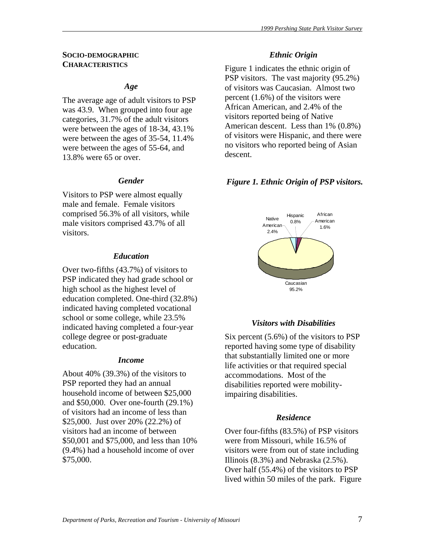#### **SOCIO-DEMOGRAPHIC CHARACTERISTICS**

#### *Age*

The average age of adult visitors to PSP was 43.9. When grouped into four age categories, 31.7% of the adult visitors were between the ages of 18-34, 43.1% were between the ages of 35-54, 11.4% were between the ages of 55-64, and 13.8% were 65 or over.

#### *Gender*

Visitors to PSP were almost equally male and female. Female visitors comprised 56.3% of all visitors, while male visitors comprised 43.7% of all visitors.

#### *Education*

Over two-fifths (43.7%) of visitors to PSP indicated they had grade school or high school as the highest level of education completed. One-third (32.8%) indicated having completed vocational school or some college, while 23.5% indicated having completed a four-year college degree or post-graduate education.

#### *Income*

About 40% (39.3%) of the visitors to PSP reported they had an annual household income of between \$25,000 and \$50,000. Over one-fourth (29.1%) of visitors had an income of less than \$25,000. Just over 20% (22.2%) of visitors had an income of between \$50,001 and \$75,000, and less than 10% (9.4%) had a household income of over \$75,000.

#### *Ethnic Origin*

Figure 1 indicates the ethnic origin of PSP visitors. The vast majority (95.2%) of visitors was Caucasian. Almost two percent (1.6%) of the visitors were African American, and 2.4% of the visitors reported being of Native American descent. Less than 1% (0.8%) of visitors were Hispanic, and there were no visitors who reported being of Asian descent.

#### *Figure 1. Ethnic Origin of PSP visitors.*



#### *Visitors with Disabilities*

Six percent (5.6%) of the visitors to PSP reported having some type of disability that substantially limited one or more life activities or that required special accommodations. Most of the disabilities reported were mobilityimpairing disabilities.

#### *Residence*

Over four-fifths (83.5%) of PSP visitors were from Missouri, while 16.5% of visitors were from out of state including Illinois (8.3%) and Nebraska (2.5%). Over half (55.4%) of the visitors to PSP lived within 50 miles of the park. Figure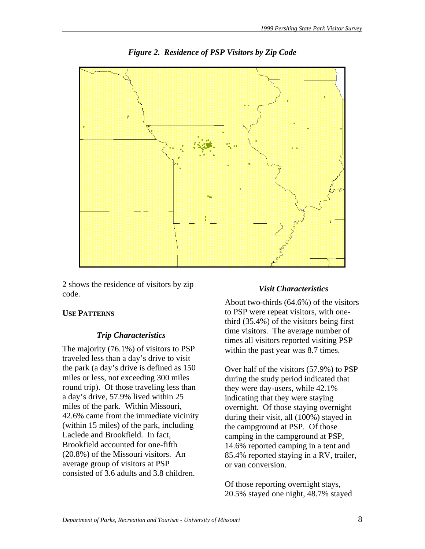

*Figure 2. Residence of PSP Visitors by Zip Code* 

2 shows the residence of visitors by zip code.

# **USE PATTERNS**

# *Trip Characteristics*

The majority (76.1%) of visitors to PSP traveled less than a day's drive to visit the park (a day's drive is defined as 150 miles or less, not exceeding 300 miles round trip). Of those traveling less than a day's drive, 57.9% lived within 25 miles of the park. Within Missouri, 42.6% came from the immediate vicinity (within 15 miles) of the park, including Laclede and Brookfield. In fact, Brookfield accounted for one-fifth (20.8%) of the Missouri visitors. An average group of visitors at PSP consisted of 3.6 adults and 3.8 children.

# *Visit Characteristics*

About two-thirds (64.6%) of the visitors to PSP were repeat visitors, with onethird (35.4%) of the visitors being first time visitors. The average number of times all visitors reported visiting PSP within the past year was 8.7 times.

Over half of the visitors (57.9%) to PSP during the study period indicated that they were day-users, while 42.1% indicating that they were staying overnight. Of those staying overnight during their visit, all (100%) stayed in the campground at PSP. Of those camping in the campground at PSP, 14.6% reported camping in a tent and 85.4% reported staying in a RV, trailer, or van conversion.

Of those reporting overnight stays, 20.5% stayed one night, 48.7% stayed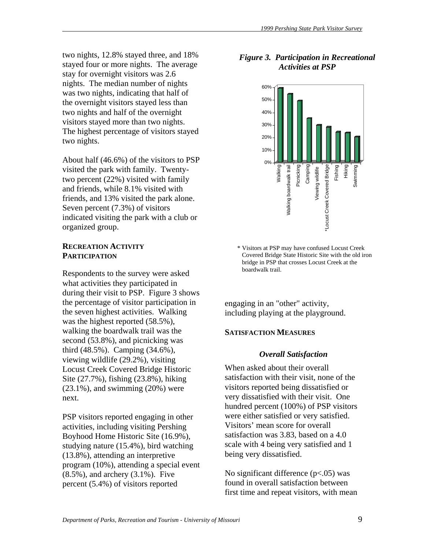two nights, 12.8% stayed three, and 18% stayed four or more nights. The average stay for overnight visitors was 2.6 nights. The median number of nights was two nights, indicating that half of the overnight visitors stayed less than two nights and half of the overnight visitors stayed more than two nights. The highest percentage of visitors stayed two nights.

About half (46.6%) of the visitors to PSP visited the park with family. Twentytwo percent (22%) visited with family and friends, while 8.1% visited with friends, and 13% visited the park alone. Seven percent (7.3%) of visitors indicated visiting the park with a club or organized group.

#### **RECREATION ACTIVITY PARTICIPATION**

Respondents to the survey were asked what activities they participated in during their visit to PSP. Figure 3 shows the percentage of visitor participation in the seven highest activities. Walking was the highest reported (58.5%), walking the boardwalk trail was the second (53.8%), and picnicking was third (48.5%). Camping (34.6%), viewing wildlife (29.2%), visiting Locust Creek Covered Bridge Historic Site (27.7%), fishing (23.8%), hiking  $(23.1\%)$ , and swimming  $(20\%)$  were next.

PSP visitors reported engaging in other activities, including visiting Pershing Boyhood Home Historic Site (16.9%), studying nature (15.4%), bird watching (13.8%), attending an interpretive program (10%), attending a special event (8.5%), and archery (3.1%). Five percent (5.4%) of visitors reported

# *Figure 3. Participation in Recreational Activities at PSP*



\* Visitors at PSP may have confused Locust Creek Covered Bridge State Historic Site with the old iron bridge in PSP that crosses Locust Creek at the boardwalk trail.

engaging in an "other" activity, including playing at the playground.

#### **SATISFACTION MEASURES**

#### *Overall Satisfaction*

When asked about their overall satisfaction with their visit, none of the visitors reported being dissatisfied or very dissatisfied with their visit. One hundred percent (100%) of PSP visitors were either satisfied or very satisfied. Visitors' mean score for overall satisfaction was 3.83, based on a 4.0 scale with 4 being very satisfied and 1 being very dissatisfied.

No significant difference (p<.05) was found in overall satisfaction between first time and repeat visitors, with mean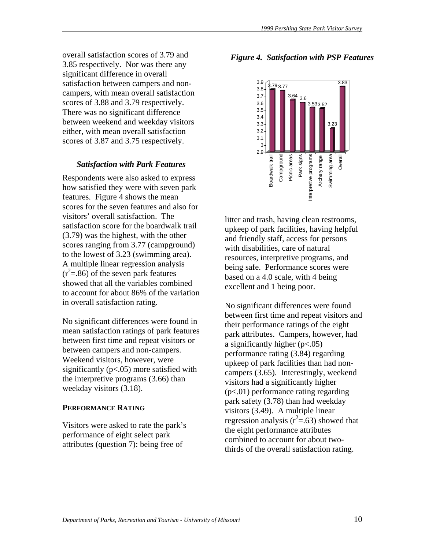overall satisfaction scores of 3.79 and 3.85 respectively. Nor was there any significant difference in overall satisfaction between campers and noncampers, with mean overall satisfaction scores of 3.88 and 3.79 respectively. There was no significant difference between weekend and weekday visitors either, with mean overall satisfaction scores of 3.87 and 3.75 respectively.

#### *Satisfaction with Park Features*

Respondents were also asked to express how satisfied they were with seven park features. Figure 4 shows the mean scores for the seven features and also for visitors' overall satisfaction. The satisfaction score for the boardwalk trail (3.79) was the highest, with the other scores ranging from 3.77 (campground) to the lowest of 3.23 (swimming area). A multiple linear regression analysis  $(r<sup>2</sup>=.86)$  of the seven park features showed that all the variables combined to account for about 86% of the variation in overall satisfaction rating.

No significant differences were found in mean satisfaction ratings of park features between first time and repeat visitors or between campers and non-campers. Weekend visitors, however, were significantly  $(p<.05)$  more satisfied with the interpretive programs (3.66) than weekday visitors (3.18).

#### **PERFORMANCE RATING**

Visitors were asked to rate the park's performance of eight select park attributes (question 7): being free of

# *Figure 4. Satisfaction with PSP Features*



litter and trash, having clean restrooms, upkeep of park facilities, having helpful and friendly staff, access for persons with disabilities, care of natural resources, interpretive programs, and being safe. Performance scores were based on a 4.0 scale, with 4 being excellent and 1 being poor.

No significant differences were found between first time and repeat visitors and their performance ratings of the eight park attributes. Campers, however, had a significantly higher (p<.05) performance rating (3.84) regarding upkeep of park facilities than had noncampers (3.65). Interestingly, weekend visitors had a significantly higher (p<.01) performance rating regarding park safety (3.78) than had weekday visitors (3.49). A multiple linear regression analysis ( $r^2$ =.63) showed that the eight performance attributes combined to account for about twothirds of the overall satisfaction rating.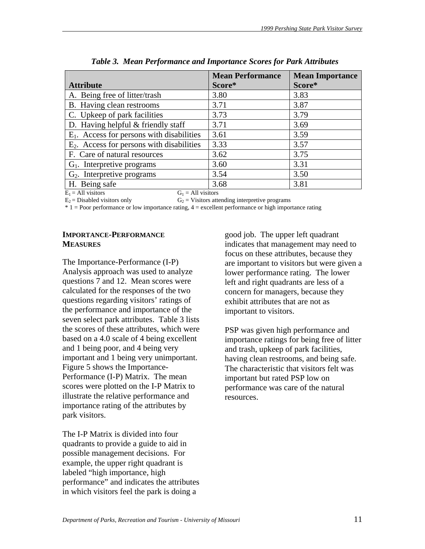|                                              | <b>Mean Performance</b> | <b>Mean Importance</b> |
|----------------------------------------------|-------------------------|------------------------|
| <b>Attribute</b>                             | Score*                  | Score*                 |
| A. Being free of litter/trash                | 3.80                    | 3.83                   |
| B. Having clean restrooms                    | 3.71                    | 3.87                   |
| C. Upkeep of park facilities                 | 3.73                    | 3.79                   |
| D. Having helpful $&$ friendly staff         | 3.71                    | 3.69                   |
| $E_1$ . Access for persons with disabilities | 3.61                    | 3.59                   |
| $E_2$ . Access for persons with disabilities | 3.33                    | 3.57                   |
| F. Care of natural resources                 | 3.62                    | 3.75                   |
| $G1$ . Interpretive programs                 | 3.60                    | 3.31                   |
| $G_2$ . Interpretive programs                | 3.54                    | 3.50                   |
| H. Being safe                                | 3.68                    | 3.81                   |
| $E_1$ = All visitors<br>$G_1 = All visitors$ |                         |                        |

*Table 3. Mean Performance and Importance Scores for Park Attributes* 

 $E_2$  = Disabled visitors only  $G_2$  = Visitors attending interpretive programs

\* 1 = Poor performance or low importance rating, 4 = excellent performance or high importance rating

# **IMPORTANCE-PERFORMANCE MEASURES**

The Importance-Performance (I-P) Analysis approach was used to analyze questions 7 and 12. Mean scores were calculated for the responses of the two questions regarding visitors' ratings of the performance and importance of the seven select park attributes. Table 3 lists the scores of these attributes, which were based on a 4.0 scale of 4 being excellent and 1 being poor, and 4 being very important and 1 being very unimportant. Figure 5 shows the Importance-Performance (I-P) Matrix. The mean scores were plotted on the I-P Matrix to illustrate the relative performance and importance rating of the attributes by park visitors.

The I-P Matrix is divided into four quadrants to provide a guide to aid in possible management decisions. For example, the upper right quadrant is labeled "high importance, high performance" and indicates the attributes in which visitors feel the park is doing a

good job. The upper left quadrant indicates that management may need to focus on these attributes, because they are important to visitors but were given a lower performance rating. The lower left and right quadrants are less of a concern for managers, because they exhibit attributes that are not as important to visitors.

PSP was given high performance and importance ratings for being free of litter and trash, upkeep of park facilities, having clean restrooms, and being safe. The characteristic that visitors felt was important but rated PSP low on performance was care of the natural resources.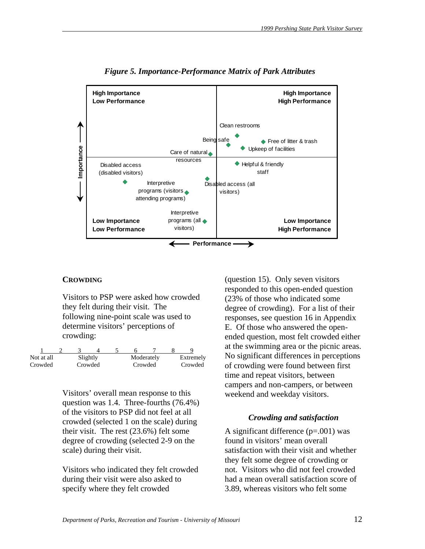

*Figure 5. Importance-Performance Matrix of Park Attributes* 

#### **CROWDING**

Visitors to PSP were asked how crowded they felt during their visit. The following nine-point scale was used to determine visitors' perceptions of crowding:

| Not at all | Slightly |  |         | Moderately | Extremely |
|------------|----------|--|---------|------------|-----------|
| Crowded    | Crowded  |  | Crowded |            | Crowded   |

Visitors' overall mean response to this question was 1.4. Three-fourths (76.4%) of the visitors to PSP did not feel at all crowded (selected 1 on the scale) during their visit. The rest (23.6%) felt some degree of crowding (selected 2-9 on the scale) during their visit.

Visitors who indicated they felt crowded during their visit were also asked to specify where they felt crowded

(question 15). Only seven visitors responded to this open-ended question (23% of those who indicated some degree of crowding). For a list of their responses, see question 16 in Appendix E. Of those who answered the openended question, most felt crowded either at the swimming area or the picnic areas. No significant differences in perceptions of crowding were found between first time and repeat visitors, between campers and non-campers, or between weekend and weekday visitors.

# *Crowding and satisfaction*

A significant difference  $(p=.001)$  was found in visitors' mean overall satisfaction with their visit and whether they felt some degree of crowding or not. Visitors who did not feel crowded had a mean overall satisfaction score of 3.89, whereas visitors who felt some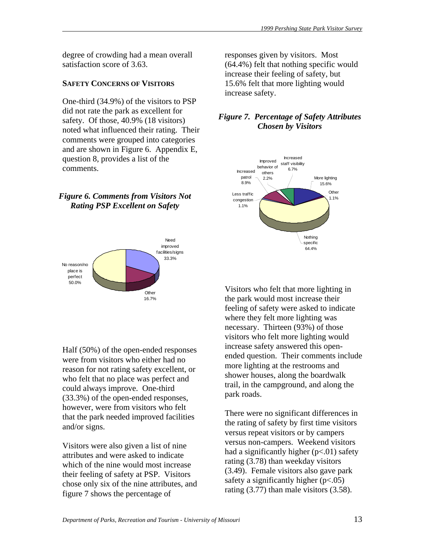degree of crowding had a mean overall satisfaction score of 3.63.

# **SAFETY CONCERNS OF VISITORS**

One-third (34.9%) of the visitors to PSP did not rate the park as excellent for safety. Of those, 40.9% (18 visitors) noted what influenced their rating. Their comments were grouped into categories and are shown in Figure 6. Appendix E, question 8, provides a list of the comments.

# *Figure 6. Comments from Visitors Not Rating PSP Excellent on Safety*



Half (50%) of the open-ended responses were from visitors who either had no reason for not rating safety excellent, or who felt that no place was perfect and could always improve. One-third (33.3%) of the open-ended responses, however, were from visitors who felt that the park needed improved facilities and/or signs.

Visitors were also given a list of nine attributes and were asked to indicate which of the nine would most increase their feeling of safety at PSP. Visitors chose only six of the nine attributes, and figure 7 shows the percentage of

responses given by visitors. Most (64.4%) felt that nothing specific would increase their feeling of safety, but 15.6% felt that more lighting would increase safety.

# *Figure 7. Percentage of Safety Attributes Chosen by Visitors*



Visitors who felt that more lighting in the park would most increase their feeling of safety were asked to indicate where they felt more lighting was necessary. Thirteen (93%) of those visitors who felt more lighting would increase safety answered this openended question. Their comments include more lighting at the restrooms and shower houses, along the boardwalk trail, in the campground, and along the park roads.

There were no significant differences in the rating of safety by first time visitors versus repeat visitors or by campers versus non-campers. Weekend visitors had a significantly higher  $(p<.01)$  safety rating (3.78) than weekday visitors (3.49). Female visitors also gave park safety a significantly higher  $(p<.05)$ rating (3.77) than male visitors (3.58).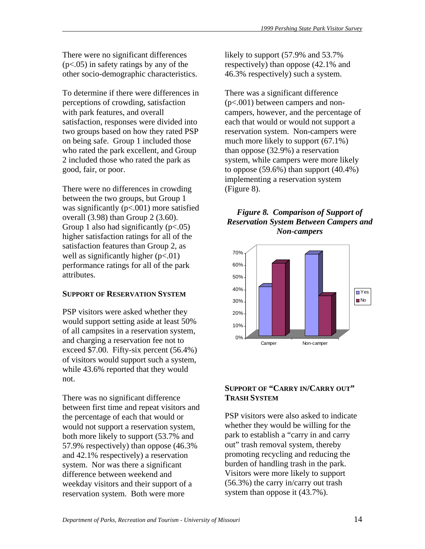There were no significant differences (p<.05) in safety ratings by any of the other socio-demographic characteristics.

To determine if there were differences in perceptions of crowding, satisfaction with park features, and overall satisfaction, responses were divided into two groups based on how they rated PSP on being safe. Group 1 included those who rated the park excellent, and Group 2 included those who rated the park as good, fair, or poor.

There were no differences in crowding between the two groups, but Group 1 was significantly  $(p<.001)$  more satisfied overall (3.98) than Group 2 (3.60). Group 1 also had significantly  $(p<.05)$ higher satisfaction ratings for all of the satisfaction features than Group 2, as well as significantly higher  $(p<.01)$ performance ratings for all of the park attributes.

# **SUPPORT OF RESERVATION SYSTEM**

PSP visitors were asked whether they would support setting aside at least 50% of all campsites in a reservation system, and charging a reservation fee not to exceed \$7.00. Fifty-six percent (56.4%) of visitors would support such a system, while 43.6% reported that they would not.

There was no significant difference between first time and repeat visitors and the percentage of each that would or would not support a reservation system, both more likely to support (53.7% and 57.9% respectively) than oppose (46.3% and 42.1% respectively) a reservation system. Nor was there a significant difference between weekend and weekday visitors and their support of a reservation system. Both were more

likely to support (57.9% and 53.7% respectively) than oppose (42.1% and 46.3% respectively) such a system.

There was a significant difference (p<.001) between campers and noncampers, however, and the percentage of each that would or would not support a reservation system. Non-campers were much more likely to support (67.1%) than oppose (32.9%) a reservation system, while campers were more likely to oppose  $(59.6\%)$  than support  $(40.4\%)$ implementing a reservation system (Figure 8).

# *Figure 8. Comparison of Support of Reservation System Between Campers and Non-campers*



# **SUPPORT OF "CARRY IN/CARRY OUT" TRASH SYSTEM**

PSP visitors were also asked to indicate whether they would be willing for the park to establish a "carry in and carry out" trash removal system, thereby promoting recycling and reducing the burden of handling trash in the park. Visitors were more likely to support (56.3%) the carry in/carry out trash system than oppose it (43.7%).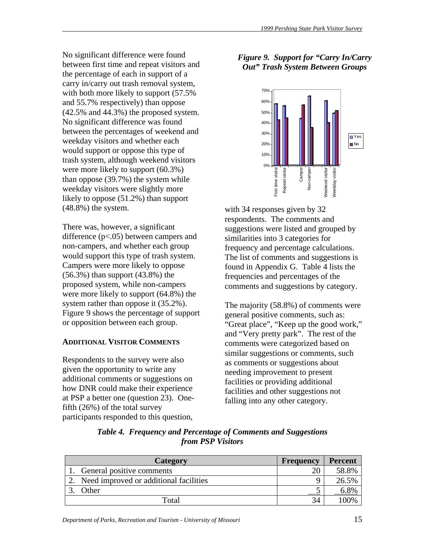No significant difference were found between first time and repeat visitors and the percentage of each in support of a carry in/carry out trash removal system, with both more likely to support (57.5% and 55.7% respectively) than oppose (42.5% and 44.3%) the proposed system. No significant difference was found between the percentages of weekend and weekday visitors and whether each would support or oppose this type of trash system, although weekend visitors were more likely to support (60.3%) than oppose (39.7%) the system while weekday visitors were slightly more likely to oppose (51.2%) than support (48.8%) the system.

There was, however, a significant difference  $(p<.05)$  between campers and non-campers, and whether each group would support this type of trash system. Campers were more likely to oppose (56.3%) than support (43.8%) the proposed system, while non-campers were more likely to support (64.8%) the system rather than oppose it  $(35.2\%)$ . Figure 9 shows the percentage of support or opposition between each group.

# **ADDITIONAL VISITOR COMMENTS**

Respondents to the survey were also given the opportunity to write any additional comments or suggestions on how DNR could make their experience at PSP a better one (question 23). Onefifth (26%) of the total survey participants responded to this question,

# *Figure 9. Support for "Carry In/Carry Out" Trash System Between Groups*



with 34 responses given by 32 respondents. The comments and suggestions were listed and grouped by similarities into 3 categories for frequency and percentage calculations. The list of comments and suggestions is found in Appendix G. Table 4 lists the frequencies and percentages of the comments and suggestions by category.

The majority (58.8%) of comments were general positive comments, such as: "Great place", "Keep up the good work," and "Very pretty park". The rest of the comments were categorized based on similar suggestions or comments, such as comments or suggestions about needing improvement to present facilities or providing additional facilities and other suggestions not falling into any other category.

| Category                                  | <b>Frequency</b> | <b>Percent</b> |
|-------------------------------------------|------------------|----------------|
| General positive comments                 | 20               | 58.8%          |
| 2. Need improved or additional facilities |                  | 26.5%          |
| Other                                     |                  |                |
| Total                                     | 34               | 100%           |

*Table 4. Frequency and Percentage of Comments and Suggestions from PSP Visitors*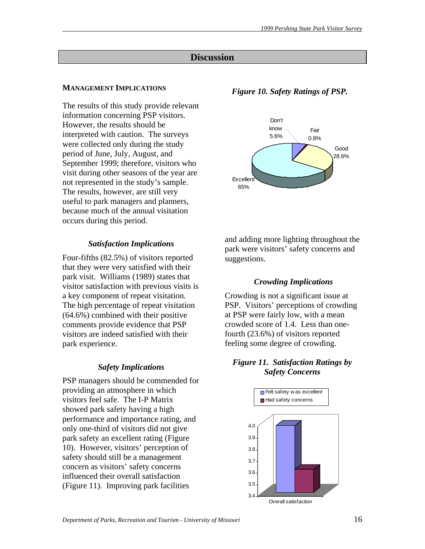# **Discussion**

# **MANAGEMENT IMPLICATIONS**

The results of this study provide relevant information concerning PSP visitors. However, the results should be interpreted with caution. The surveys were collected only during the study period of June, July, August, and September 1999; therefore, visitors who visit during other seasons of the year are not represented in the study's sample. The results, however, are still very useful to park managers and planners, because much of the annual visitation occurs during this period.

# *Satisfaction Implications*

Four-fifths (82.5%) of visitors reported that they were very satisfied with their park visit. Williams (1989) states that visitor satisfaction with previous visits is a key component of repeat visitation. The high percentage of repeat visitation (64.6%) combined with their positive comments provide evidence that PSP visitors are indeed satisfied with their park experience.

# *Safety Implications*

PSP managers should be commended for providing an atmosphere in which visitors feel safe. The I-P Matrix showed park safety having a high performance and importance rating, and only one-third of visitors did not give park safety an excellent rating (Figure 10). However, visitors' perception of safety should still be a management concern as visitors' safety concerns influenced their overall satisfaction (Figure 11). Improving park facilities

# *Figure 10. Safety Ratings of PSP.*



and adding more lighting throughout the park were visitors' safety concerns and suggestions.

# *Crowding Implications*

Crowding is not a significant issue at PSP. Visitors' perceptions of crowding at PSP were fairly low, with a mean crowded score of 1.4. Less than onefourth (23.6%) of visitors reported feeling some degree of crowding.

# *Figure 11. Satisfaction Ratings by Safety Concerns*

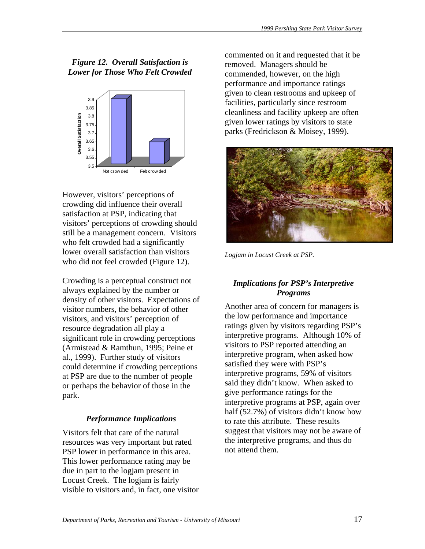# *Figure 12. Overall Satisfaction is Lower for Those Who Felt Crowded*



However, visitors' perceptions of crowding did influence their overall satisfaction at PSP, indicating that visitors' perceptions of crowding should still be a management concern. Visitors who felt crowded had a significantly lower overall satisfaction than visitors who did not feel crowded (Figure 12).

Crowding is a perceptual construct not always explained by the number or density of other visitors. Expectations of visitor numbers, the behavior of other visitors, and visitors' perception of resource degradation all play a significant role in crowding perceptions (Armistead & Ramthun, 1995; Peine et al., 1999). Further study of visitors could determine if crowding perceptions at PSP are due to the number of people or perhaps the behavior of those in the park.

# *Performance Implications*

Visitors felt that care of the natural resources was very important but rated PSP lower in performance in this area. This lower performance rating may be due in part to the logjam present in Locust Creek. The logjam is fairly visible to visitors and, in fact, one visitor

commented on it and requested that it be removed. Managers should be commended, however, on the high performance and importance ratings given to clean restrooms and upkeep of facilities, particularly since restroom cleanliness and facility upkeep are often given lower ratings by visitors to state parks (Fredrickson & Moisey, 1999).



*Logjam in Locust Creek at PSP.* 

# *Implications for PSP's Interpretive Programs*

Another area of concern for managers is the low performance and importance ratings given by visitors regarding PSP's interpretive programs. Although 10% of visitors to PSP reported attending an interpretive program, when asked how satisfied they were with PSP's interpretive programs, 59% of visitors said they didn't know. When asked to give performance ratings for the interpretive programs at PSP, again over half (52.7%) of visitors didn't know how to rate this attribute. These results suggest that visitors may not be aware of the interpretive programs, and thus do not attend them.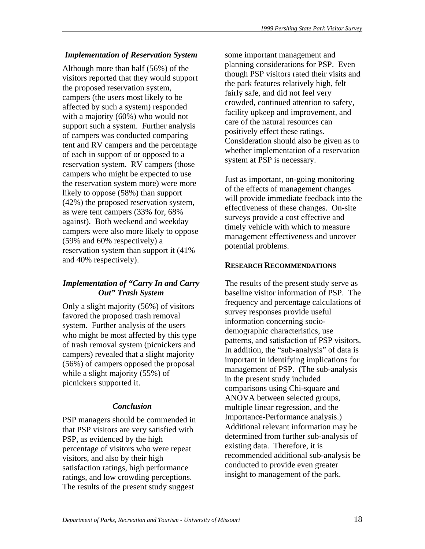# *Implementation of Reservation System*

Although more than half (56%) of the visitors reported that they would support the proposed reservation system, campers (the users most likely to be affected by such a system) responded with a majority (60%) who would not support such a system. Further analysis of campers was conducted comparing tent and RV campers and the percentage of each in support of or opposed to a reservation system. RV campers (those campers who might be expected to use the reservation system more) were more likely to oppose (58%) than support (42%) the proposed reservation system, as were tent campers (33% for, 68% against). Both weekend and weekday campers were also more likely to oppose (59% and 60% respectively) a reservation system than support it (41% and 40% respectively).

# *Implementation of "Carry In and Carry Out" Trash System*

Only a slight majority (56%) of visitors favored the proposed trash removal system. Further analysis of the users who might be most affected by this type of trash removal system (picnickers and campers) revealed that a slight majority (56%) of campers opposed the proposal while a slight majority (55%) of picnickers supported it.

# *Conclusion*

PSP managers should be commended in that PSP visitors are very satisfied with PSP, as evidenced by the high percentage of visitors who were repeat visitors, and also by their high satisfaction ratings, high performance ratings, and low crowding perceptions. The results of the present study suggest

some important management and planning considerations for PSP. Even though PSP visitors rated their visits and the park features relatively high, felt fairly safe, and did not feel very crowded, continued attention to safety, facility upkeep and improvement, and care of the natural resources can positively effect these ratings. Consideration should also be given as to whether implementation of a reservation system at PSP is necessary.

Just as important, on-going monitoring of the effects of management changes will provide immediate feedback into the effectiveness of these changes. On-site surveys provide a cost effective and timely vehicle with which to measure management effectiveness and uncover potential problems.

#### **RESEARCH RECOMMENDATIONS**

The results of the present study serve as baseline visitor information of PSP. The frequency and percentage calculations of survey responses provide useful information concerning sociodemographic characteristics, use patterns, and satisfaction of PSP visitors. In addition, the "sub-analysis" of data is important in identifying implications for management of PSP. (The sub-analysis in the present study included comparisons using Chi-square and ANOVA between selected groups, multiple linear regression, and the Importance-Performance analysis.) Additional relevant information may be determined from further sub-analysis of existing data. Therefore, it is recommended additional sub-analysis be conducted to provide even greater insight to management of the park.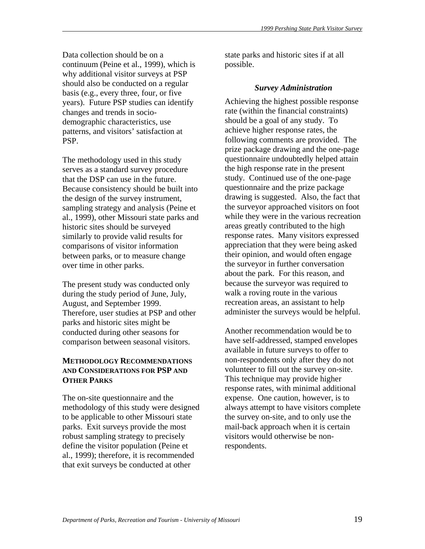Data collection should be on a continuum (Peine et al., 1999), which is why additional visitor surveys at PSP should also be conducted on a regular basis (e.g., every three, four, or five years). Future PSP studies can identify changes and trends in sociodemographic characteristics, use patterns, and visitors' satisfaction at PSP.

The methodology used in this study serves as a standard survey procedure that the DSP can use in the future. Because consistency should be built into the design of the survey instrument, sampling strategy and analysis (Peine et al., 1999), other Missouri state parks and historic sites should be surveyed similarly to provide valid results for comparisons of visitor information between parks, or to measure change over time in other parks.

The present study was conducted only during the study period of June, July, August, and September 1999. Therefore, user studies at PSP and other parks and historic sites might be conducted during other seasons for comparison between seasonal visitors.

# **METHODOLOGY RECOMMENDATIONS AND CONSIDERATIONS FOR PSP AND OTHER PARKS**

The on-site questionnaire and the methodology of this study were designed to be applicable to other Missouri state parks. Exit surveys provide the most robust sampling strategy to precisely define the visitor population (Peine et al., 1999); therefore, it is recommended that exit surveys be conducted at other

state parks and historic sites if at all possible.

# *Survey Administration*

Achieving the highest possible response rate (within the financial constraints) should be a goal of any study. To achieve higher response rates, the following comments are provided. The prize package drawing and the one-page questionnaire undoubtedly helped attain the high response rate in the present study. Continued use of the one-page questionnaire and the prize package drawing is suggested. Also, the fact that the surveyor approached visitors on foot while they were in the various recreation areas greatly contributed to the high response rates. Many visitors expressed appreciation that they were being asked their opinion, and would often engage the surveyor in further conversation about the park. For this reason, and because the surveyor was required to walk a roving route in the various recreation areas, an assistant to help administer the surveys would be helpful.

Another recommendation would be to have self-addressed, stamped envelopes available in future surveys to offer to non-respondents only after they do not volunteer to fill out the survey on-site. This technique may provide higher response rates, with minimal additional expense. One caution, however, is to always attempt to have visitors complete the survey on-site, and to only use the mail-back approach when it is certain visitors would otherwise be nonrespondents.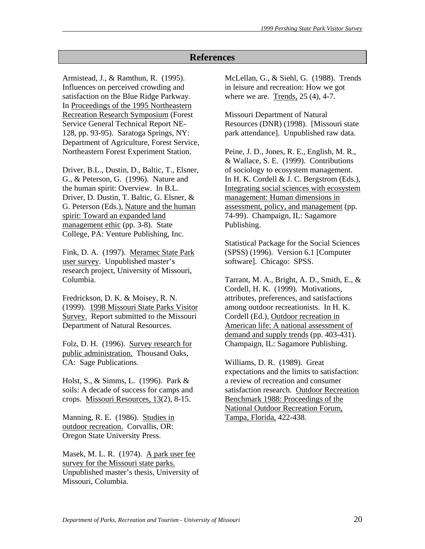# **References**

Armistead, J., & Ramthun, R. (1995). Influences on perceived crowding and satisfaction on the Blue Ridge Parkway. In Proceedings of the 1995 Northeastern Recreation Research Symposium (Forest Service General Technical Report NE-128, pp. 93-95). Saratoga Springs, NY: Department of Agriculture, Forest Service, Northeastern Forest Experiment Station.

Driver, B.L., Dustin, D., Baltic, T., Elsner, G., & Peterson, G. (1996). Nature and the human spirit: Overview. In B.L. Driver, D. Dustin, T. Baltic, G. Elsner, & G. Peterson (Eds.), Nature and the human spirit: Toward an expanded land management ethic (pp. 3-8). State College, PA: Venture Publishing, Inc.

Fink, D. A. (1997). Meramec State Park user survey. Unpublished master's research project, University of Missouri, Columbia.

Fredrickson, D. K. & Moisey, R. N. (1999). 1998 Missouri State Parks Visitor Survey. Report submitted to the Missouri Department of Natural Resources.

Folz, D. H. (1996). Survey research for public administration. Thousand Oaks, CA: Sage Publications.

Holst, S., & Simms, L. (1996). Park & soils: A decade of success for camps and crops. Missouri Resources, 13(2), 8-15.

Manning, R. E. (1986). Studies in outdoor recreation. Corvallis, OR: Oregon State University Press.

Masek, M. L. R. (1974). A park user fee survey for the Missouri state parks. Unpublished master's thesis, University of Missouri, Columbia.

McLellan, G., & Siehl, G. (1988). Trends in leisure and recreation: How we got where we are. Trends, 25 (4), 4-7.

Missouri Department of Natural Resources (DNR) (1998). [Missouri state park attendance]. Unpublished raw data.

Peine, J. D., Jones, R. E., English, M. R., & Wallace, S. E. (1999). Contributions of sociology to ecosystem management. In H. K. Cordell & J. C. Bergstrom (Eds.), Integrating social sciences with ecosystem management: Human dimensions in assessment, policy, and management (pp. 74-99). Champaign, IL: Sagamore Publishing.

Statistical Package for the Social Sciences (SPSS) (1996). Version 6.1 [Computer software]. Chicago: SPSS.

Tarrant, M. A., Bright, A. D., Smith, E., & Cordell, H. K. (1999). Motivations, attributes, preferences, and satisfactions among outdoor recreationists. In H. K. Cordell (Ed.), Outdoor recreation in American life: A national assessment of demand and supply trends (pp. 403-431). Champaign, IL: Sagamore Publishing.

Williams, D. R. (1989). Great expectations and the limits to satisfaction: a review of recreation and consumer satisfaction research. Outdoor Recreation Benchmark 1988: Proceedings of the National Outdoor Recreation Forum, Tampa, Florida, 422-438.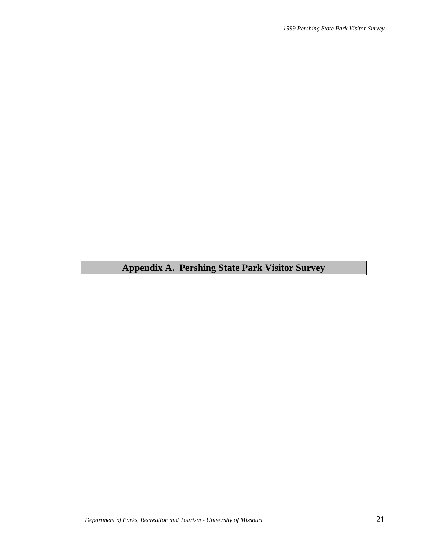# **Appendix A. Pershing State Park Visitor Survey**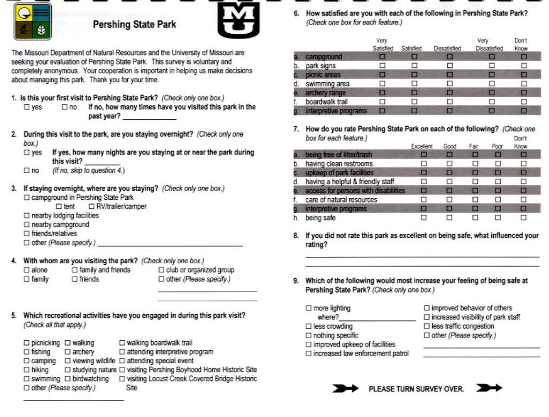

# **Pershing State Park**



The Missouri Department of Natural Resources and the University of Missouri are seeking your evaluation of Pershing State Park. This survey is voluntary and completely anonymous. Your cooperation is important in helping us make decisions about managing this park. Thank you for your time.

- 1. Is this your first visit to Pershing State Park? (Check only one box.)
	- If no, how many times have you visited this park in the  $\square$  yes  $\Box$ no past year?
- 2. During this visit to the park, are you staying overnight? (Check only one box.)
	- $\square$  yes If yes, how many nights are you staying at or near the park during this visit?
	- (If no, skip to question 4.)  $\Box$  no
- If staying overnight, where are you staying? (Check only one box.) 3. □ campground in Pershing State Park
	- $\Box$  tent □ RV/trailer/camper
	- $\square$  nearby lodging facilities
	- □ nearby campground
	- $\square$  friends/relatives
	- Dother (Please specify.)
- With whom are you visiting the park? (Check only one box.) 4.  $\square$  alone  $\Box$  family and friends  $\square$  family  $\square$  friends
	- □ club or organized group □ other (Please specify.)
- 5. Which recreational activities have you engaged in during this park visit? (Check all that apply.)

| $\Box$ picnicking $\Box$ walking |                | D walking boardwalk trail                                                 |
|----------------------------------|----------------|---------------------------------------------------------------------------|
| $\Box$ fishing                   | $\Box$ archery | $\square$ attending interpretive program                                  |
| $\Box$ camping                   |                | $\Box$ viewing wildlife $\Box$ attending special event                    |
| $\Box$ hiking                    |                | □ studying nature □ visiting Pershing Boyhood Home Historic Site          |
|                                  |                | □ swimming □ birdwatching □ visiting Locust Creek Covered Bridge Historic |
| □ other (Please specify.)        |                | Site                                                                      |

6. How satisfied are you with each of the following in Pershing State Park? (Check one box for each feature.)

|    |                       | Very<br>Satisfied | Satisfied | Dissatisfied | Very<br>Dissatisfied | Don't<br>Know |  |
|----|-----------------------|-------------------|-----------|--------------|----------------------|---------------|--|
|    | campground            |                   |           |              |                      | Е             |  |
| Ð. | park signs            |                   |           |              |                      |               |  |
|    | picnic areas          | o                 | G         |              |                      | □             |  |
| ₫. | swimming area         |                   |           |              |                      | ш             |  |
|    | archery range         |                   |           |              |                      | □             |  |
|    | boardwalk trail       |                   |           |              |                      |               |  |
|    | interpretive programs |                   |           |              |                      |               |  |

7. How do you rate Pershing State Park on each of the following? (Check one box for each feature.) Don't

|                                      | Excellent | Good   | Fair | Poor | Know |
|--------------------------------------|-----------|--------|------|------|------|
| being free of litten trash           |           | $\Box$ |      | □    |      |
| having clean restrooms               |           |        |      |      | ⊔    |
| upkeep of park facilities            |           | п      | B    |      | Ø    |
| having a helpful & friendly staff    |           | п      |      | ш    | п    |
| access for persons with disabilities |           | ы      | ш    | . .  | п    |
| care of natural resources            |           |        |      | . .  | п    |
| interpretive programs                | н         |        |      |      | о    |
| being safe                           |           |        |      |      |      |

- 8. If you did not rate this park as excellent on being safe, what influenced your rating?
- 9. Which of the following would most increase your feeling of being safe at Pershing State Park? (Check only one box.)

| $\Box$ more lighting                 | □ improved behavior of others                |
|--------------------------------------|----------------------------------------------|
| where?                               | $\square$ increased visibility of park staff |
| $\square$ less crowding              | $\Box$ less traffic congestion               |
| □ nothing specific                   | □ other (Please specify.)                    |
| $\Box$ improved upkeep of facilities |                                              |
| □ increased law enforcement patrol   |                                              |



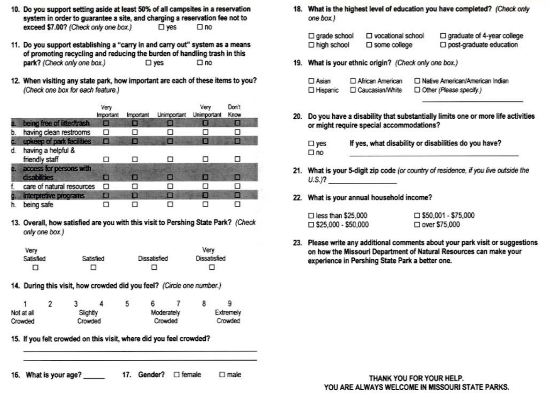- 10. Do you support setting aside at least 50% of all campsites in a reservation system in order to quarantee a site, and charging a reservation fee not to exceed \$7.00? (Check only one box.)  $\square$  ves  $\Box$ no
- 11. Do you support establishing a "carry in and carry out" system as a means of promoting recycling and reducing the burden of handling trash in this park? (Check only one box.)  $\square$  yes  $\square$  no
- 12. When visiting any state park, how important are each of these items to you? (Check one box for each feature.)

|    |                                         | Very<br>Important | Important | Unimportant | Verv<br>Unimportant | Don't<br>Know |
|----|-----------------------------------------|-------------------|-----------|-------------|---------------------|---------------|
|    | being free of litter/trash              | Ξ                 | 冒         | Е           |                     | е             |
|    | having clean restrooms                  |                   |           | П           |                     |               |
|    | upkeep of park facilities               | A۸                |           | Е           | ш                   | E             |
| ₫. | having a helpful &<br>friendly staff    |                   |           |             |                     |               |
| в. | access for persons with<br>disabilities | e                 |           | в           |                     |               |
|    | care of natural resources               |                   |           |             |                     | П             |
|    | <b>Interpretive programs</b>            | Ω                 | o         | о           | н                   | □             |
|    | being safe                              |                   |           |             |                     |               |

13. Overall, how satisfied are you with this visit to Pershing State Park? (Check only one box.)

| Very      |           |              | Very         |
|-----------|-----------|--------------|--------------|
| Satisfied | Satisfied | Dissatisfied | Dissatisfied |
| <b>F</b>  |           | ٠            |              |

14. During this visit, how crowded did you feel? (Circle one number.)

|                        |  |  |            | υ       | 6         |         |  |  |
|------------------------|--|--|------------|---------|-----------|---------|--|--|
| Not at all<br>Slightly |  |  | Moderately |         | Extremely |         |  |  |
| Crowded<br>Crowded     |  |  |            | Crowded |           | Crowded |  |  |

15. If you felt crowded on this visit, where did you feel crowded?

16. What is your age? 17. Gender? 
<sub>□</sub> female  $\square$  male 18. What is the highest level of education you have completed? (Check only one box.)

| $\square$ grade school | □ vocational school    | $\Box$ graduate of 4-year college |
|------------------------|------------------------|-----------------------------------|
| □ high school          | $\square$ some college | $\Box$ post-graduate education    |

19. What is your ethnic origin? (Check only one box.)

| $\Box$ Asian | African American | □ Native American/American Indian |
|--------------|------------------|-----------------------------------|
| □ Hispanic   | Caucasian/White  | Other (Please specify.)           |

20. Do you have a disability that substantially limits one or more life activities or might require special accommodations?

If yes, what disability or disabilities do you have?  $\square$  yes  $\square$  no

- 21. What is your 5-digit zip code (or country of residence, if you live outside the  $U.S.P.$
- 22. What is your annual household income?

| $\Box$ less than \$25,000  | $\Box$ \$50,001 - \$75,000 |
|----------------------------|----------------------------|
| $\Box$ \$25,000 - \$50,000 | □ over \$75,000            |

23. Please write any additional comments about your park visit or suggestions on how the Missouri Department of Natural Resources can make your experience in Pershing State Park a better one.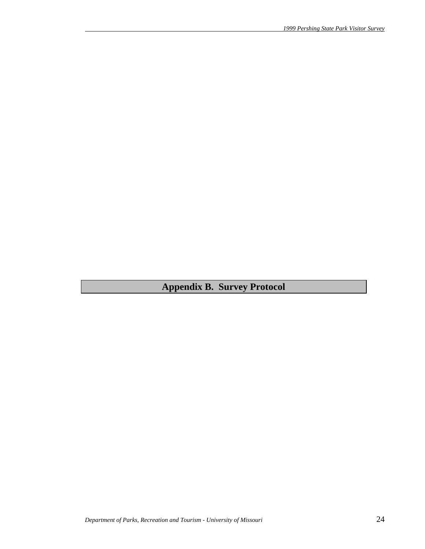**Appendix B. Survey Protocol**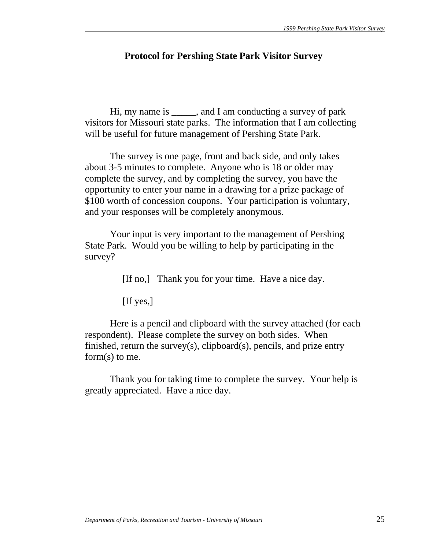# **Protocol for Pershing State Park Visitor Survey**

 Hi, my name is \_\_\_\_\_, and I am conducting a survey of park visitors for Missouri state parks. The information that I am collecting will be useful for future management of Pershing State Park.

 The survey is one page, front and back side, and only takes about 3-5 minutes to complete. Anyone who is 18 or older may complete the survey, and by completing the survey, you have the opportunity to enter your name in a drawing for a prize package of \$100 worth of concession coupons. Your participation is voluntary, and your responses will be completely anonymous.

 Your input is very important to the management of Pershing State Park. Would you be willing to help by participating in the survey?

[If no,] Thank you for your time. Have a nice day.

[If yes,]

 Here is a pencil and clipboard with the survey attached (for each respondent). Please complete the survey on both sides. When finished, return the survey(s), clipboard(s), pencils, and prize entry form(s) to me.

 Thank you for taking time to complete the survey. Your help is greatly appreciated. Have a nice day.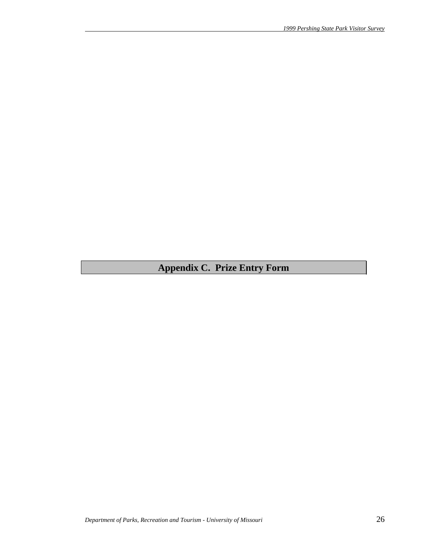# **Appendix C. Prize Entry Form**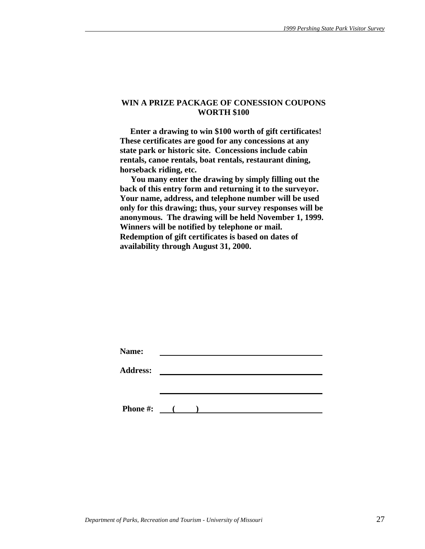#### **WIN A PRIZE PACKAGE OF CONESSION COUPONS WORTH \$100**

 **Enter a drawing to win \$100 worth of gift certificates! These certificates are good for any concessions at any state park or historic site. Concessions include cabin rentals, canoe rentals, boat rentals, restaurant dining, horseback riding, etc.** 

 **You many enter the drawing by simply filling out the back of this entry form and returning it to the surveyor. Your name, address, and telephone number will be used only for this drawing; thus, your survey responses will be anonymous. The drawing will be held November 1, 1999. Winners will be notified by telephone or mail. Redemption of gift certificates is based on dates of availability through August 31, 2000.** 

| Name:           |              |  |  |  |
|-----------------|--------------|--|--|--|
| <b>Address:</b> |              |  |  |  |
|                 |              |  |  |  |
|                 |              |  |  |  |
| <b>Phone #:</b> | $\mathbf{C}$ |  |  |  |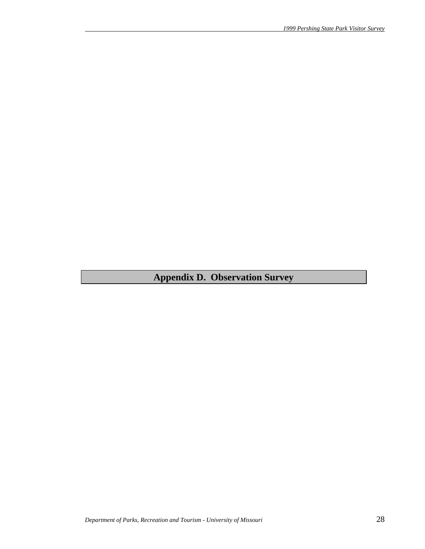# **Appendix D. Observation Survey**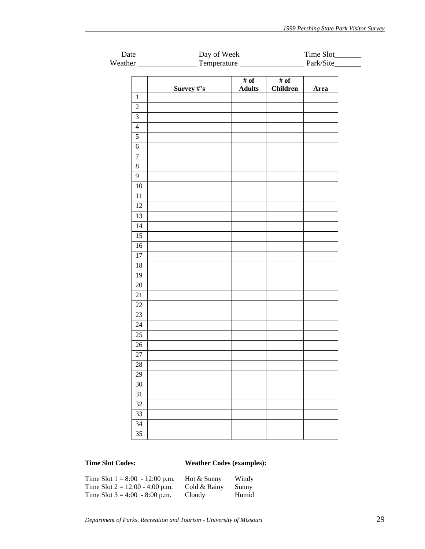|                             |                 |            | Weather Temperature Fernandella Park/Site |                           |      |  |  |
|-----------------------------|-----------------|------------|-------------------------------------------|---------------------------|------|--|--|
|                             |                 |            |                                           |                           |      |  |  |
|                             |                 | Survey #'s | # of<br><b>Adults</b>                     | $#$ of<br><b>Children</b> | Area |  |  |
| $1\,$                       |                 |            |                                           |                           |      |  |  |
| $\overline{2}$              |                 |            |                                           |                           |      |  |  |
| $\ensuremath{\mathfrak{Z}}$ |                 |            |                                           |                           |      |  |  |
| $\overline{4}$              |                 |            |                                           |                           |      |  |  |
| $\overline{5}$              |                 |            |                                           |                           |      |  |  |
| $\sqrt{6}$                  |                 |            |                                           |                           |      |  |  |
| $\boldsymbol{7}$            |                 |            |                                           |                           |      |  |  |
| $8\,$                       |                 |            |                                           |                           |      |  |  |
| $\overline{9}$              |                 |            |                                           |                           |      |  |  |
|                             | $10\,$          |            |                                           |                           |      |  |  |
|                             | 11              |            |                                           |                           |      |  |  |
|                             | 12              |            |                                           |                           |      |  |  |
|                             | 13              |            |                                           |                           |      |  |  |
|                             | 14              |            |                                           |                           |      |  |  |
|                             | $\overline{15}$ |            |                                           |                           |      |  |  |
|                             | $16\,$          |            |                                           |                           |      |  |  |
|                             | 17              |            |                                           |                           |      |  |  |
|                             | 18              |            |                                           |                           |      |  |  |
|                             | 19              |            |                                           |                           |      |  |  |
|                             | 20              |            |                                           |                           |      |  |  |
|                             | 21              |            |                                           |                           |      |  |  |
|                             | 22              |            |                                           |                           |      |  |  |
|                             | 23              |            |                                           |                           |      |  |  |
|                             | 24              |            |                                           |                           |      |  |  |
|                             | $\overline{25}$ |            |                                           |                           |      |  |  |
|                             | 26              |            |                                           |                           |      |  |  |
|                             | $\overline{27}$ |            |                                           |                           |      |  |  |
|                             | $28\,$          |            |                                           |                           |      |  |  |
|                             | 29              |            |                                           |                           |      |  |  |
|                             | 30              |            |                                           |                           |      |  |  |
|                             | 31              |            |                                           |                           |      |  |  |
|                             | 32              |            |                                           |                           |      |  |  |
|                             | 33              |            |                                           |                           |      |  |  |
|                             | 34              |            |                                           |                           |      |  |  |
|                             | 35              |            |                                           |                           |      |  |  |
|                             |                 |            |                                           |                           |      |  |  |

# **Time Slot Codes: Weather Codes (examples):**

| Time Slot $1 = 8:00 - 12:00$ p.m. | Hot & Sunny  | Windy |
|-----------------------------------|--------------|-------|
| Time Slot $2 = 12:00 - 4:00$ p.m. | Cold & Rainy | Sunny |
| Time Slot $3 = 4:00 - 8:00$ p.m.  | Cloudy       | Humid |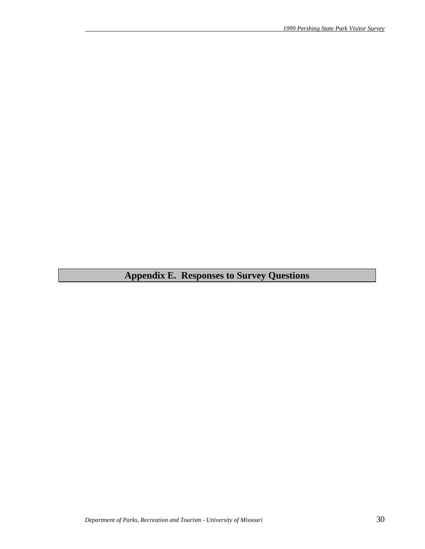# **Appendix E. Responses to Survey Questions**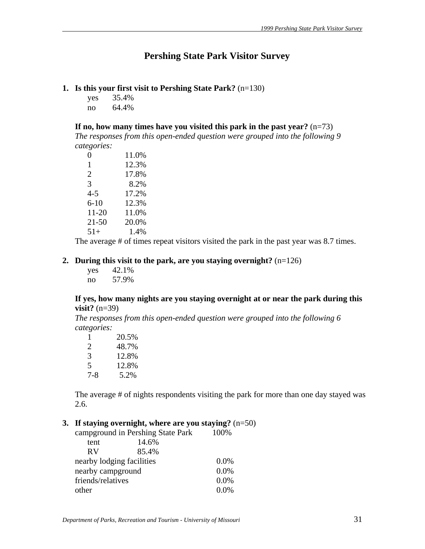# **Pershing State Park Visitor Survey**

#### **1. Is this your first visit to Pershing State Park?** (n=130)

yes 35.4% no 64.4%

**If no, how many times have you visited this park in the past year?** (n=73)

*The responses from this open-ended question were grouped into the following 9 categories:*

| 0         | 11.0% |
|-----------|-------|
| 1         | 12.3% |
| 2         | 17.8% |
| 3         | 8.2%  |
| 4-5       | 17.2% |
| $6 - 10$  | 12.3% |
| 11-20     | 11.0% |
| $21 - 50$ | 20.0% |
| $51+$     | 1.4%  |

The average # of times repeat visitors visited the park in the past year was 8.7 times.

#### **2. During this visit to the park, are you staying overnight?** (n=126)

| yes | 42.1% |
|-----|-------|
| no  | 57.9% |

#### **If yes, how many nights are you staying overnight at or near the park during this visit?** (n=39)

*The responses from this open-ended question were grouped into the following 6 categories:*

| ı   | 20.5% |
|-----|-------|
| 2   | 48.7% |
| 3   | 12.8% |
| 5   | 12.8% |
| 7-8 | 5.2%  |

The average # of nights respondents visiting the park for more than one day stayed was 2.6.

# **3. If staying overnight, where are you staying?** (n=50)

|                           | campground in Pershing State Park | 100%    |
|---------------------------|-----------------------------------|---------|
| tent                      | 14.6%                             |         |
| <b>RV</b>                 | 85.4%                             |         |
| nearby lodging facilities |                                   | $0.0\%$ |
| nearby campground         |                                   | 0.0%    |
| friends/relatives         |                                   | 0.0%    |
| other                     |                                   | 0.0%    |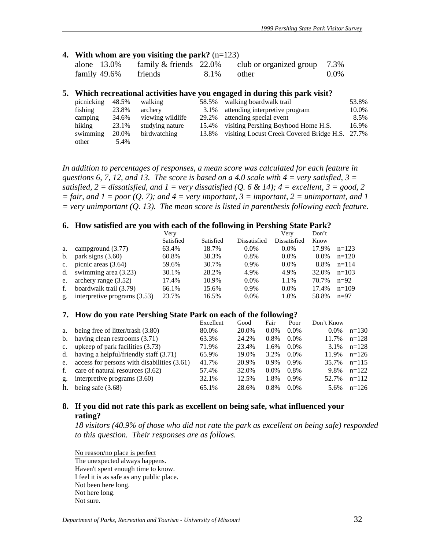#### **4. With whom are you visiting the park?** (n=123)

| alone 13.0%  | family $&$ friends 22.0% |               | club or organized group 7.3% |      |
|--------------|--------------------------|---------------|------------------------------|------|
| family 49.6% | friends                  | $8.1\%$ other |                              | 0.0% |

#### **5. Which recreational activities have you engaged in during this park visit?**

| picnicking | 48.5% | walking          | 58.5% | walking boardwalk trail                         | 53.8% |
|------------|-------|------------------|-------|-------------------------------------------------|-------|
| fishing    | 23.8% | archery          | 3.1%  | attending interpretive program                  | 10.0% |
| camping    | 34.6% | viewing wildlife | 29.2% | attending special event                         | 8.5%  |
| hiking     | 23.1% | studying nature  | 15.4% | visiting Pershing Boyhood Home H.S.             | 16.9% |
| swimming   | 20.0% | birdwatching     | 13.8% | visiting Locust Creek Covered Bridge H.S. 27.7% |       |
| other      | 5.4%  |                  |       |                                                 |       |

*In addition to percentages of responses, a mean score was calculated for each feature in questions 6, 7, 12, and 13. The score is based on a 4.0 scale with 4 = very satisfied, 3 = satisfied,*  $2 =$  *dissatisfied, and*  $1 =$  *very dissatisfied (Q, 6 & 14);*  $4 =$  *excellent,*  $3 =$  good, 2  $=$  fair, and  $1 =$  poor (Q. 7); and  $4 =$  very important,  $3 =$  important,  $2 =$  unimportant, and  $1$ *= very unimportant (Q. 13). The mean score is listed in parenthesis following each feature.* 

#### **6. How satisfied are you with each of the following in Pershing State Park?**

|             |                              | Verv      |           |              | Verv         | Don't   |         |
|-------------|------------------------------|-----------|-----------|--------------|--------------|---------|---------|
|             |                              | Satisfied | Satisfied | Dissatisfied | Dissatisfied | Know    |         |
| a.          | campground $(3.77)$          | 63.4%     | 18.7%     | $0.0\%$      | $0.0\%$      | 17.9%   | $n=123$ |
| b.          | park signs $(3.60)$          | 60.8%     | 38.3%     | 0.8%         | $0.0\%$      | $0.0\%$ | $n=120$ |
| $c_{\cdot}$ | picnic areas $(3.64)$        | 59.6%     | 30.7%     | $0.9\%$      | $0.0\%$      | 8.8%    | $n=114$ |
|             | d. swimming area $(3.23)$    | 30.1%     | 28.2%     | 4.9%         | 4.9%         | 32.0%   | $n=103$ |
| e.          | archery range $(3.52)$       | 17.4%     | 10.9%     | $0.0\%$      | 1.1%         | 70.7%   | $n=92$  |
| f.          | boardwalk trail (3.79)       | 66.1%     | 15.6%     | 0.9%         | $0.0\%$      | 17.4%   | $n=109$ |
| g.          | interpretive programs (3.53) | 23.7%     | 16.5%     | $0.0\%$      | 1.0%         | 58.8%   | $n=97$  |

#### **7. How do you rate Pershing State Park on each of the following?**

|             |                                             | Excellent | Good  | Fair    | Poor    | Don't Know |         |
|-------------|---------------------------------------------|-----------|-------|---------|---------|------------|---------|
| a.          | being free of litter/trash (3.80)           | 80.0%     | 20.0% | $0.0\%$ | $0.0\%$ | $0.0\%$    | $n=130$ |
|             | b. having clean restrooms $(3.71)$          | 63.3%     | 24.2% | 0.8%    | $0.0\%$ | 11.7%      | $n=128$ |
| $c_{\cdot}$ | upkeep of park facilities (3.73)            | 71.9%     | 23.4% | 1.6%    | $0.0\%$ | 3.1%       | $n=128$ |
|             | d. having a helpful/friendly staff $(3.71)$ | 65.9%     | 19.0% | 3.2%    | $0.0\%$ | 11.9%      | $n=126$ |
| e.          | access for persons with disabilities (3.61) | 41.7%     | 20.9% | $0.9\%$ | $0.9\%$ | 35.7%      | $n=115$ |
| f.          | care of natural resources (3.62)            | 57.4%     | 32.0% | $0.0\%$ | $0.8\%$ | 9.8%       | $n=122$ |
| g.          | interpretive programs $(3.60)$              | 32.1%     | 12.5% | 1.8%    | $0.9\%$ | 52.7%      | $n=112$ |
| h.          | being safe $(3.68)$                         | 65.1%     | 28.6% | 0.8%    | $0.0\%$ | 5.6%       | $n=126$ |

# **8. If you did not rate this park as excellent on being safe, what influenced your rating?**

*18 visitors (40.9% of those who did not rate the park as excellent on being safe) responded to this question. Their responses are as follows.* 

No reason/no place is perfect The unexpected always happens. Haven't spent enough time to know. I feel it is as safe as any public place. Not been here long. Not here long. Not sure.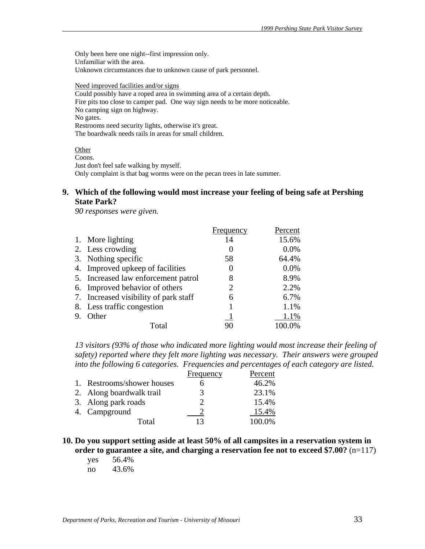Only been here one night--first impression only. Unfamiliar with the area. Unknown circumstances due to unknown cause of park personnel.

Need improved facilities and/or signs Could possibly have a roped area in swimming area of a certain depth. Fire pits too close to camper pad. One way sign needs to be more noticeable. No camping sign on highway. No gates. Restrooms need security lights, otherwise it's great. The boardwalk needs rails in areas for small children.

# **Other**

Coons. Just don't feel safe walking by myself. Only complaint is that bag worms were on the pecan trees in late summer.

#### **9. Which of the following would most increase your feeling of being safe at Pershing State Park?**

*90 responses were given.*

|    |                                       | Frequency     | Percent |
|----|---------------------------------------|---------------|---------|
|    | 1. More lighting                      | 14            | 15.6%   |
|    | 2. Less crowding                      | $\theta$      | 0.0%    |
|    | 3. Nothing specific                   | 58            | 64.4%   |
|    | 4. Improved upkeep of facilities      | $\mathcal{L}$ | 0.0%    |
|    | 5. Increased law enforcement patrol   | 8             | 8.9%    |
|    | 6. Improved behavior of others        | 2             | 2.2%    |
|    | 7. Increased visibility of park staff | 6             | 6.7%    |
|    | 8. Less traffic congestion            |               | 1.1%    |
| 9. | Other                                 |               | 1.1%    |
|    | Total                                 | 90            | 100.0%  |

*13 visitors (93% of those who indicated more lighting would most increase their feeling of safety) reported where they felt more lighting was necessary. Their answers were grouped into the following 6 categories. Frequencies and percentages of each category are listed.*

|                            | Frequency | Percent |
|----------------------------|-----------|---------|
| 1. Restrooms/shower houses |           | 46.2%   |
| 2. Along boardwalk trail   | 3         | 23.1%   |
| 3. Along park roads        |           | 15.4%   |
| 4. Campground              |           | 15.4%   |
| Total                      | 13        | 100.0%  |

**10. Do you support setting aside at least 50% of all campsites in a reservation system in order to guarantee a site, and charging a reservation fee not to exceed \$7.00?** (n=117)

 yes 56.4% no 43.6%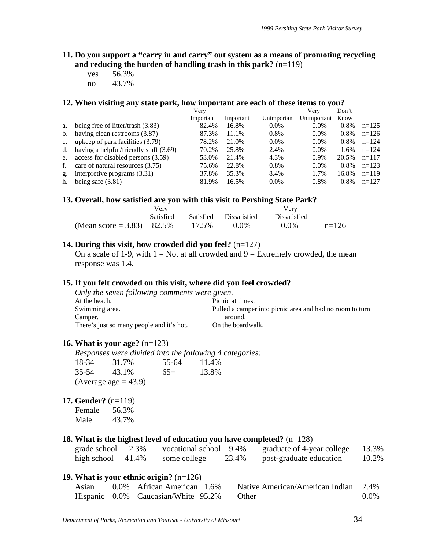- **11. Do you support a "carry in and carry" out system as a means of promoting recycling and reducing the burden of handling trash in this park?** (n=119)
	- yes 56.3% no 43.7%

# **12. When visiting any state park, how important are each of these items to you?**

|             |                                        | Very      |           |             | Verv        | Don't   |         |
|-------------|----------------------------------------|-----------|-----------|-------------|-------------|---------|---------|
|             |                                        | Important | Important | Unimportant | Unimportant | Know    |         |
| a.          | being free of litter/trash (3.83)      | 82.4%     | 16.8%     | $0.0\%$     | $0.0\%$     | $0.8\%$ | $n=125$ |
| b.          | having clean restrooms (3.87)          | 87.3%     | 11.1%     | 0.8%        | $0.0\%$     | 0.8%    | $n=126$ |
| $c_{\cdot}$ | upkeep of park facilities (3.79)       | 78.2%     | 21.0%     | $0.0\%$     | $0.0\%$     | 0.8%    | $n=124$ |
| d.          | having a helpful/friendly staff (3.69) | 70.2%     | 25.8%     | 2.4%        | $0.0\%$     | 1.6%    | $n=124$ |
|             | e. access for disabled persons (3.59)  | 53.0%     | 21.4%     | 4.3%        | 0.9%        | 20.5%   | $n=117$ |
| f.          | care of natural resources (3.75)       | 75.6%     | 22.8%     | 0.8%        | $0.0\%$     | 0.8%    | $n=123$ |
| g.          | interpretive programs $(3.31)$         | 37.8%     | 35.3%     | 8.4%        | 1.7%        | 16.8%   | $n=119$ |
| h.          | being safe $(3.81)$                    | 81.9%     | 16.5%     | $0.0\%$     | 0.8%        | $0.8\%$ | $n=127$ |

#### 13. Overall, how satisfied are you with this visit to Pershing State Park?

|                              | Verv      |       |                        | Very                |         |
|------------------------------|-----------|-------|------------------------|---------------------|---------|
|                              | Satisfied |       | Satisfied Dissatisfied | <b>Dissatisfied</b> |         |
| (Mean score = 3.83) $82.5\%$ |           | 17.5% | $0.0\%$                | $0.0\%$             | $n=126$ |

#### **14. During this visit, how crowded did you feel?** (n=127)

On a scale of 1-9, with  $1 = Not$  at all crowded and  $9 = Extremely$  crowded, the mean response was 1.4.

#### **15. If you felt crowded on this visit, where did you feel crowded?**

| Only the seven following comments were given.                  |
|----------------------------------------------------------------|
| Picnic at times.                                               |
| Pulled a camper into picnic area and had no room to turn       |
| around.                                                        |
| There's just so many people and it's hot.<br>On the boardwalk. |
|                                                                |

#### **16. What is your age?** (n=123)

|             |                        |             | Responses were divided into the following 4 categories: |
|-------------|------------------------|-------------|---------------------------------------------------------|
| 18-34 31.7% |                        | 55-64 11.4% |                                                         |
| 35-54       | 43.1%                  | $65+$       | 13.8%                                                   |
|             | (Average age $=$ 43.9) |             |                                                         |

**17. Gender?** (n=119)

| Female | 56.3% |
|--------|-------|
| Male   | 43.7% |

### **18. What is the highest level of education you have completed?** (n=128)

| grade school | 2.3%  | vocational school 9.4% |       | graduate of 4-year college | 13.3% |
|--------------|-------|------------------------|-------|----------------------------|-------|
| high school  | 41.4% | some college           | 23.4% | post-graduate education    | 10.2% |

# **19. What is your ethnic origin?** (n=126)

| Asian | 0.0% African American 1.6%          | Native American/American Indian 2.4% |         |
|-------|-------------------------------------|--------------------------------------|---------|
|       | Hispanic 0.0% Caucasian/White 95.2% | <b>Other</b>                         | $0.0\%$ |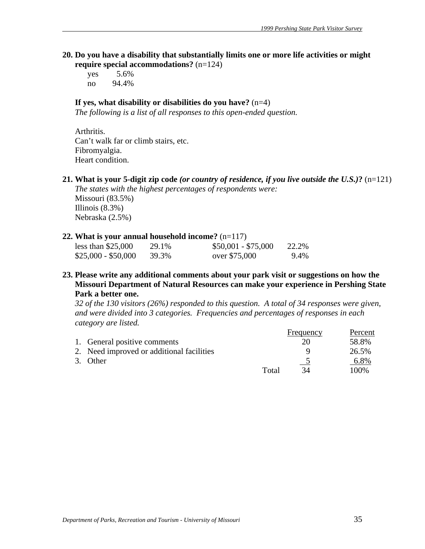**20. Do you have a disability that substantially limits one or more life activities or might require special accommodations?** (n=124)

 yes 5.6% no 94.4%

# **If yes, what disability or disabilities do you have?** (n=4)

*The following is a list of all responses to this open-ended question.* 

 Arthritis. Can't walk far or climb stairs, etc. Fibromyalgia. Heart condition.

**21. What is your 5-digit zip code** *(or country of residence, if you live outside the U.S.)***?** (n=121)

*The states with the highest percentages of respondents were:* 

Missouri (83.5%) Illinois (8.3%) Nebraska (2.5%)

# **22. What is your annual household income?** (n=117)

| less than $$25,000$ | 29.1% | $$50,001 - $75,000$ | 22.2% |
|---------------------|-------|---------------------|-------|
| $$25,000 - $50,000$ | 39.3% | over \$75,000       | 9.4%  |

**23. Please write any additional comments about your park visit or suggestions on how the Missouri Department of Natural Resources can make your experience in Pershing State Park a better one.** 

*32 of the 130 visitors (26%) responded to this question. A total of 34 responses were given, and were divided into 3 categories. Frequencies and percentages of responses in each category are listed.*

|                                           |       | Frequency | Percent |
|-------------------------------------------|-------|-----------|---------|
| 1. General positive comments              |       |           | 58.8%   |
| 2. Need improved or additional facilities |       |           | 26.5%   |
| 3. Other                                  |       |           | 6.8%    |
|                                           | Total | 34        | 100\%   |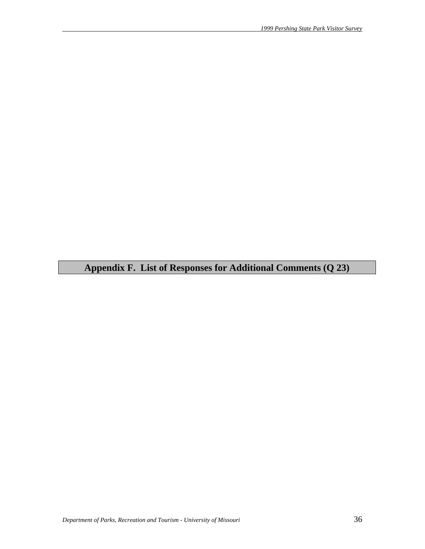# **Appendix F. List of Responses for Additional Comments (Q 23)**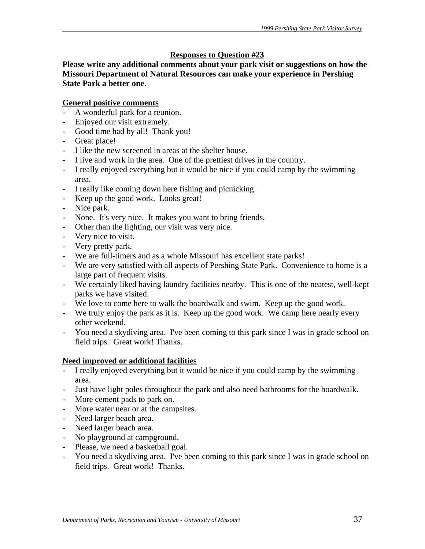# **Responses to Question #23**

**Please write any additional comments about your park visit or suggestions on how the Missouri Department of Natural Resources can make your experience in Pershing State Park a better one.** 

# **General positive comments**

- A wonderful park for a reunion.
- Enjoyed our visit extremely.
- Good time had by all! Thank you!
- Great place!
- I like the new screened in areas at the shelter house.
- I live and work in the area. One of the prettiest drives in the country.
- I really enjoyed everything but it would be nice if you could camp by the swimming area.
- I really like coming down here fishing and picnicking.
- Keep up the good work. Looks great!
- Nice park.
- None. It's very nice. It makes you want to bring friends.
- Other than the lighting, our visit was very nice.
- Very nice to visit.
- Very pretty park.
- We are full-timers and as a whole Missouri has excellent state parks!
- We are very satisfied with all aspects of Pershing State Park. Convenience to home is a large part of frequent visits.
- We certainly liked having laundry facilities nearby. This is one of the neatest, well-kept parks we have visited.
- We love to come here to walk the boardwalk and swim. Keep up the good work.
- We truly enjoy the park as it is. Keep up the good work. We camp here nearly every other weekend.
- You need a skydiving area. I've been coming to this park since I was in grade school on field trips. Great work! Thanks.

# **Need improved or additional facilities**

- I really enjoyed everything but it would be nice if you could camp by the swimming area.
- Just have light poles throughout the park and also need bathrooms for the boardwalk.
- More cement pads to park on.
- More water near or at the campsites.
- Need larger beach area.
- Need larger beach area.
- No playground at campground.
- Please, we need a basketball goal.
- You need a skydiving area. I've been coming to this park since I was in grade school on field trips. Great work! Thanks.